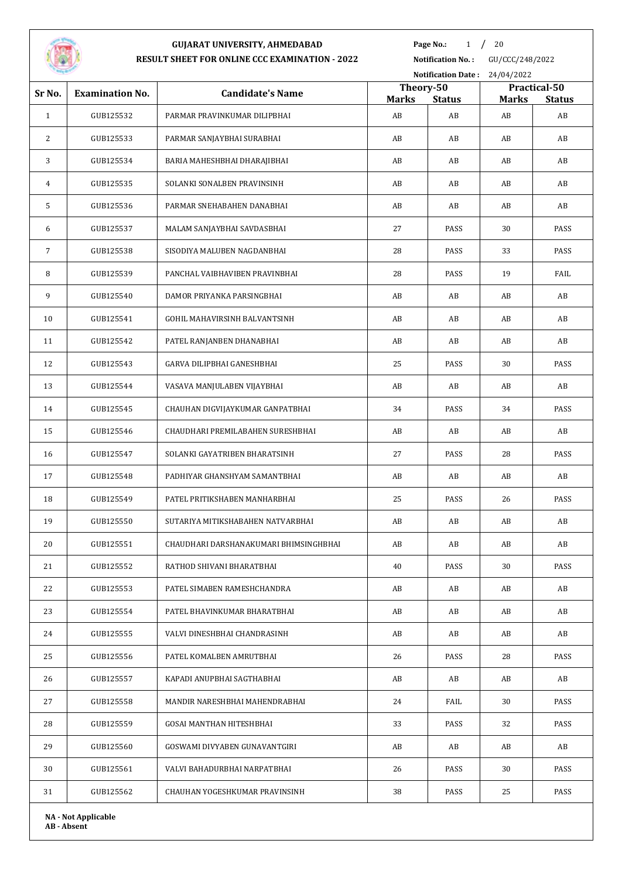

**Page No.:** 1 / 20

**Notification No. :** GU/CCC/248/2022

|                 |                            |                                        | Notification Date: 24/04/2022 |                     |                    |                     |  |
|-----------------|----------------------------|----------------------------------------|-------------------------------|---------------------|--------------------|---------------------|--|
| Sr No.          | <b>Examination No.</b>     | <b>Candidate's Name</b>                | Theory-50                     |                     |                    | Practical-50        |  |
| $\mathbf{1}$    | GUB125532                  | PARMAR PRAVINKUMAR DILIPBHAI           | <b>Marks</b><br>AB            | <b>Status</b><br>AB | <b>Marks</b><br>AB | <b>Status</b><br>AB |  |
| 2               | GUB125533                  | PARMAR SANJAYBHAI SURABHAI             | AB                            | AB                  | AB                 | AB                  |  |
| 3               | GUB125534                  | BARIA MAHESHBHAI DHARAJIBHAI           | AB                            | AB                  | AB                 | AB                  |  |
| 4               | GUB125535                  | SOLANKI SONALBEN PRAVINSINH            | AB                            | AB                  | AB                 | AB                  |  |
| 5               | GUB125536                  | PARMAR SNEHABAHEN DANABHAI             | AB                            | AB                  | AB                 | AB                  |  |
| 6               | GUB125537                  | MALAM SANJAYBHAI SAVDASBHAI            | 27                            | PASS                | 30                 | PASS                |  |
|                 |                            |                                        |                               |                     |                    |                     |  |
| $7\overline{ }$ | GUB125538                  | SISODIYA MALUBEN NAGDANBHAI            | 28                            | PASS                | 33                 | PASS                |  |
| 8               | GUB125539                  | PANCHAL VAIBHAVIBEN PRAVINBHAI         | 28                            | PASS                | 19                 | FAIL                |  |
| 9               | GUB125540                  | DAMOR PRIYANKA PARSINGBHAI             | AB                            | AB                  | AB                 | AB                  |  |
| 10              | GUB125541                  | GOHIL MAHAVIRSINH BALVANTSINH          | AB                            | AB                  | AB                 | AB                  |  |
| 11              | GUB125542                  | PATEL RANJANBEN DHANABHAI              | AB                            | AB                  | AB                 | AB                  |  |
| 12              | GUB125543                  | GARVA DILIPBHAI GANESHBHAI             | 25                            | PASS                | 30                 | PASS                |  |
| 13              | GUB125544                  | VASAVA MANJULABEN VIJAYBHAI            | AB                            | AB                  | AB                 | AB                  |  |
| 14              | GUB125545                  | CHAUHAN DIGVIJAYKUMAR GANPATBHAI       | 34                            | PASS                | 34                 | PASS                |  |
| 15              | GUB125546                  | CHAUDHARI PREMILABAHEN SURESHBHAI      | AB                            | AB                  | AB                 | AB                  |  |
| 16              | GUB125547                  | SOLANKI GAYATRIBEN BHARATSINH          | 27                            | PASS                | 28                 | PASS                |  |
| 17              | GUB125548                  | PADHIYAR GHANSHYAM SAMANTBHAI          | AB                            | AB                  | AB                 | AB                  |  |
| 18              | GUB125549                  | PATEL PRITIKSHABEN MANHARBHAI          | 25                            | PASS                | 26                 | PASS                |  |
| 19              | GUB125550                  | SUTARIYA MITIKSHABAHEN NATVARBHAI      | AB                            | AB                  | AB                 | AB                  |  |
| 20              | GUB125551                  | CHAUDHARI DARSHANAKUMARI BHIMSINGHBHAI | AB                            | AB                  | AB                 | AB                  |  |
| 21              | GUB125552                  | RATHOD SHIVANI BHARATBHAI              | 40                            | PASS                | 30                 | PASS                |  |
| 22              | GUB125553                  | PATEL SIMABEN RAMESHCHANDRA            | AB                            | AB                  | AB                 | AB                  |  |
| 23              | GUB125554                  | PATEL BHAVINKUMAR BHARATBHAI           | AB                            | AB                  | AB                 | AB                  |  |
| 24              | GUB125555                  | VALVI DINESHBHAI CHANDRASINH           | AB                            | AB                  | AB                 | AB                  |  |
| 25              | GUB125556                  | PATEL KOMALBEN AMRUTBHAI               | 26                            | PASS                | 28                 | PASS                |  |
| 26              | GUB125557                  | KAPADI ANUPBHAI SAGTHABHAI             | AB                            | AB                  | AB                 | AB                  |  |
| 27              | GUB125558                  | MANDIR NARESHBHAI MAHENDRABHAI         | 24                            | FAIL                | 30                 | PASS                |  |
| 28              | GUB125559                  | GOSAI MANTHAN HITESHBHAI               | 33                            | PASS                | 32                 | PASS                |  |
| 29              | GUB125560                  | GOSWAMI DIVYABEN GUNAVANTGIRI          | AB                            | AB                  | AB                 | AB                  |  |
| 30              | GUB125561                  | VALVI BAHADURBHAI NARPATBHAI           | 26                            | PASS                | 30                 | PASS                |  |
| 31              | GUB125562                  | CHAUHAN YOGESHKUMAR PRAVINSINH         | 38                            | PASS                | 25                 | PASS                |  |
|                 | <b>NA - Not Applicable</b> |                                        |                               |                     |                    |                     |  |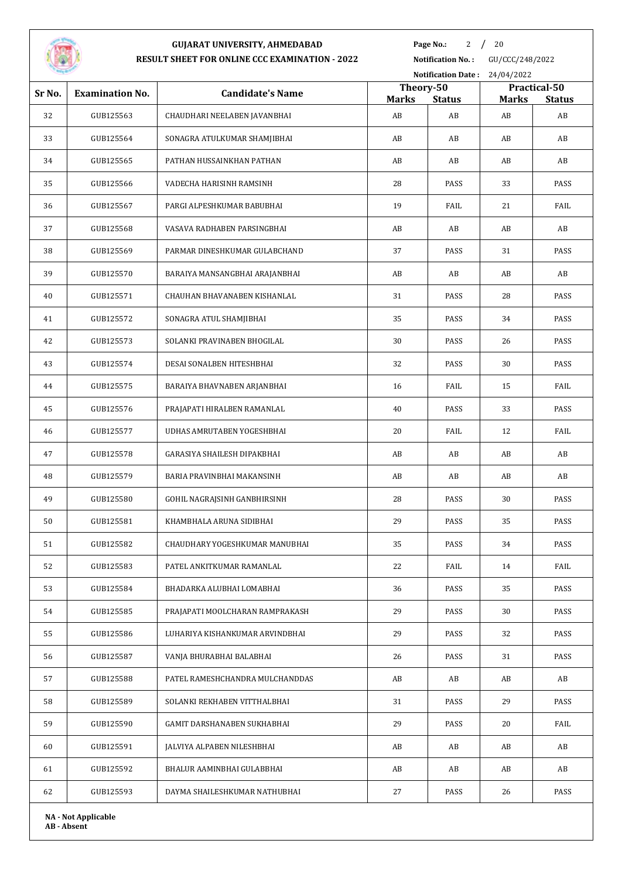

**Page No.:** 2 / 20

| Notification Date: 24/04/2022 |                            |                                 |                    |                     |                    |                     |
|-------------------------------|----------------------------|---------------------------------|--------------------|---------------------|--------------------|---------------------|
| Sr No.                        | <b>Examination No.</b>     | <b>Candidate's Name</b>         | Theory-50          |                     |                    | Practical-50        |
| 32                            | GUB125563                  | CHAUDHARI NEELABEN JAVANBHAI    | <b>Marks</b><br>AB | <b>Status</b><br>AB | <b>Marks</b><br>AB | <b>Status</b><br>AB |
| 33                            | GUB125564                  | SONAGRA ATULKUMAR SHAMJIBHAI    | AB                 | AB                  | AB                 | AB                  |
|                               |                            |                                 |                    |                     |                    |                     |
| 34                            | GUB125565                  | PATHAN HUSSAINKHAN PATHAN       | AB                 | AB                  | AB                 | AB                  |
| 35                            | GUB125566                  | VADECHA HARISINH RAMSINH        | 28                 | PASS                | 33                 | PASS                |
| 36                            | GUB125567                  | PARGI ALPESHKUMAR BABUBHAI      | 19                 | FAIL                | 21                 | FAIL                |
| 37                            | GUB125568                  | VASAVA RADHABEN PARSINGBHAI     | AB                 | AB                  | AB                 | AB                  |
| 38                            | GUB125569                  | PARMAR DINESHKUMAR GULABCHAND   | 37                 | PASS                | 31                 | PASS                |
| 39                            | GUB125570                  | BARAIYA MANSANGBHAI ARAJANBHAI  | AB                 | AB                  | AB                 | AB                  |
| 40                            | GUB125571                  | CHAUHAN BHAVANABEN KISHANLAL    | 31                 | PASS                | 28                 | PASS                |
| 41                            | GUB125572                  | SONAGRA ATUL SHAMJIBHAI         | 35                 | PASS                | 34                 | PASS                |
| 42                            | GUB125573                  | SOLANKI PRAVINABEN BHOGILAL     | 30                 | PASS                | 26                 | PASS                |
| 43                            | GUB125574                  | DESAI SONALBEN HITESHBHAI       | 32                 | PASS                | 30                 | PASS                |
| 44                            | GUB125575                  | BARAIYA BHAVNABEN ARJANBHAI     | 16                 | FAIL                | 15                 | FAIL                |
| 45                            | GUB125576                  | PRAJAPATI HIRALBEN RAMANLAL     | 40                 | PASS                | 33                 | PASS                |
| 46                            | GUB125577                  | UDHAS AMRUTABEN YOGESHBHAI      | 20                 | FAIL                | 12                 | FAIL                |
| 47                            | GUB125578                  | GARASIYA SHAILESH DIPAKBHAI     | AB                 | AB                  | AB                 | AB                  |
| 48                            | GUB125579                  | BARIA PRAVINBHAI MAKANSINH      | AB                 | AB                  | AB                 | AB                  |
| 49                            | GUB125580                  | GOHIL NAGRAJSINH GANBHIRSINH    | 28                 | PASS                | 30                 | PASS                |
| 50                            | GUB125581                  | KHAMBHALA ARUNA SIDIBHAI        | 29                 | PASS                | 35                 | PASS                |
| 51                            | GUB125582                  | CHAUDHARY YOGESHKUMAR MANUBHAI  | 35                 | PASS                | 34                 | PASS                |
| 52                            | GUB125583                  | PATEL ANKITKUMAR RAMANLAL       | 22                 | FAIL                | 14                 | FAIL                |
| 53                            | GUB125584                  | BHADARKA ALUBHAI LOMABHAI       | 36                 | PASS                | 35                 | PASS                |
| 54                            | GUB125585                  | PRAJAPATI MOOLCHARAN RAMPRAKASH | 29                 | PASS                | 30                 | PASS                |
| 55                            | GUB125586                  | LUHARIYA KISHANKUMAR ARVINDBHAI | 29                 | PASS                | 32                 | PASS                |
| 56                            | GUB125587                  | VANJA BHURABHAI BALABHAI        | 26                 | PASS                | 31                 | PASS                |
| 57                            | GUB125588                  | PATEL RAMESHCHANDRA MULCHANDDAS | AB                 | AB                  | AB                 | AB                  |
| 58                            | GUB125589                  | SOLANKI REKHABEN VITTHALBHAI    | 31                 | PASS                | 29                 | PASS                |
| 59                            | GUB125590                  | GAMIT DARSHANABEN SUKHABHAI     | 29                 | PASS                | 20                 | FAIL                |
| 60                            | GUB125591                  | JALVIYA ALPABEN NILESHBHAI      | AB                 | AB                  | AB                 | AB                  |
| 61                            | GUB125592                  | BHALUR AAMINBHAI GULABBHAI      | AB                 | AB                  | AB                 | AB                  |
| 62                            | GUB125593                  | DAYMA SHAILESHKUMAR NATHUBHAI   | 27                 | PASS                | 26                 | PASS                |
|                               | <b>NA - Not Applicable</b> |                                 |                    |                     |                    |                     |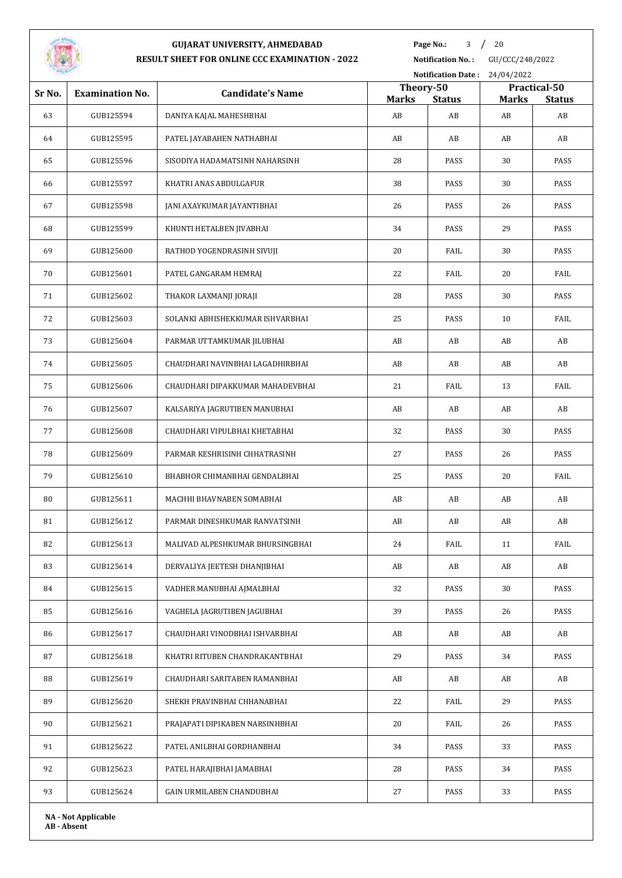

**Page No.:** / 20

**Notification No. :** GU/CCC/248/2022

| <b>Notification Date:</b><br>24/04/2022 |                            |                                  |                           |                     |                    |                     |
|-----------------------------------------|----------------------------|----------------------------------|---------------------------|---------------------|--------------------|---------------------|
| Sr No.                                  | <b>Examination No.</b>     | <b>Candidate's Name</b>          | Theory-50<br>Practical-50 |                     |                    |                     |
| 63                                      | GUB125594                  | DANIYA KAJAL MAHESHBHAI          | <b>Marks</b><br>AB        | <b>Status</b><br>AB | <b>Marks</b><br>AB | <b>Status</b><br>AB |
| 64                                      | GUB125595                  | PATEL JAYABAHEN NATHABHAI        | AB                        | AB                  | AB                 | AB                  |
| 65                                      | GUB125596                  | SISODIYA HADAMATSINH NAHARSINH   | 28                        | PASS                | 30                 | PASS                |
| 66                                      | GUB125597                  | KHATRI ANAS ABDULGAFUR           | 38                        | PASS                | 30                 | PASS                |
| 67                                      | GUB125598                  | JANI AXAYKUMAR JAYANTIBHAI       | 26                        | PASS                | 26                 | PASS                |
| 68                                      | GUB125599                  |                                  | 34                        | PASS                | 29                 | PASS                |
|                                         |                            | KHUNTI HETALBEN JIVABHAI         |                           |                     |                    |                     |
| 69                                      | GUB125600                  | RATHOD YOGENDRASINH SIVUJI       | 20                        | FAIL                | 30                 | PASS                |
| 70                                      | GUB125601                  | PATEL GANGARAM HEMRAJ            | 22                        | FAIL                | 20                 | FAIL                |
| 71                                      | GUB125602                  | THAKOR LAXMANJI JORAJI           | 28                        | PASS                | 30                 | PASS                |
| 72                                      | GUB125603                  | SOLANKI ABHISHEKKUMAR ISHVARBHAI | 25                        | PASS                | 10                 | FAIL                |
| 73                                      | GUB125604                  | PARMAR UTTAMKUMAR JILUBHAI       | AB                        | AB                  | AB                 | AB                  |
| 74                                      | GUB125605                  | CHAUDHARI NAVINBHAI LAGADHIRBHAI | AB                        | AB                  | AB                 | AB                  |
| 75                                      | GUB125606                  | CHAUDHARI DIPAKKUMAR MAHADEVBHAI | 21                        | FAIL                | 13                 | FAIL                |
| 76                                      | GUB125607                  | KALSARIYA JAGRUTIBEN MANUBHAI    | AB                        | AB                  | AB                 | AB                  |
| 77                                      | GUB125608                  | CHAUDHARI VIPULBHAI KHETABHAI    | 32                        | PASS                | 30                 | PASS                |
| 78                                      | GUB125609                  | PARMAR KESHRISINH CHHATRASINH    | 27                        | PASS                | 26                 | PASS                |
| 79                                      | GUB125610                  | BHABHOR CHIMANBHAI GENDALBHAI    | 25                        | PASS                | 20                 | FAIL                |
| 80                                      | GUB125611                  | MACHHI BHAVNABEN SOMABHAI        | AB                        | AB                  | AB                 | AB                  |
| 81                                      | GUB125612                  | PARMAR DINESHKUMAR RANVATSINH    | AB                        | AB                  | AB                 | AB                  |
| 82                                      | GUB125613                  | MALIVAD ALPESHKUMAR BHURSINGBHAI | 24                        | FAIL                | 11                 | FAIL                |
| 83                                      | GUB125614                  | DERVALIYA JEETESH DHANJIBHAI     | AB                        | AB                  | AB                 | AB                  |
| 84                                      | GUB125615                  | VADHER MANUBHAI AJMALBHAI        | 32                        | PASS                | 30                 | PASS                |
| 85                                      | GUB125616                  | VAGHELA JAGRUTIBEN JAGUBHAI      | 39                        | PASS                | 26                 | PASS                |
| 86                                      | GUB125617                  | CHAUDHARI VINODBHAI ISHVARBHAI   | AB                        | AB                  | AB                 | AB                  |
| 87                                      | GUB125618                  | KHATRI RITUBEN CHANDRAKANTBHAI   | 29                        | PASS                | 34                 | PASS                |
| 88                                      | GUB125619                  | CHAUDHARI SARITABEN RAMANBHAI    | AB                        | AB                  | AB                 | AB                  |
| 89                                      | GUB125620                  | SHEKH PRAVINBHAI CHHANABHAI      | 22                        | FAIL                | 29                 | PASS                |
| 90                                      | GUB125621                  | PRAJAPATI DIPIKABEN NARSINHBHAI  | 20                        | FAIL                | 26                 | PASS                |
| 91                                      | GUB125622                  | PATEL ANILBHAI GORDHANBHAI       | 34                        | PASS                | 33                 | PASS                |
| 92                                      | GUB125623                  | PATEL HARAJIBHAI JAMABHAI        | 28                        | PASS                | 34                 | PASS                |
| 93                                      | GUB125624                  | GAIN URMILABEN CHANDUBHAI        | 27                        | PASS                | 33                 | PASS                |
|                                         | <b>NA - Not Applicable</b> |                                  |                           |                     |                    |                     |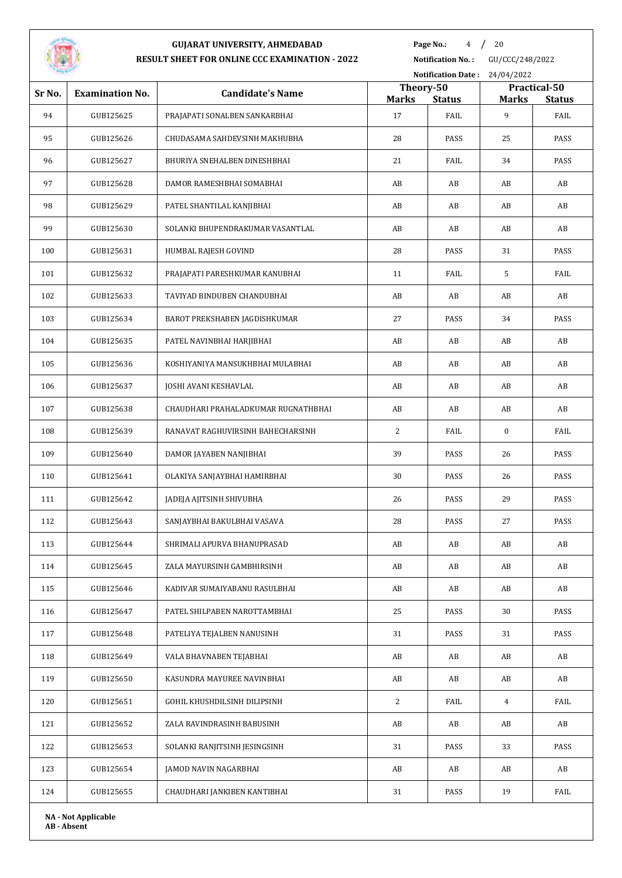

**Page No.:** / 20

| <b>STATISTICS</b> |                            |                                     |                           | <b>Notification Date:</b> | 24/04/2022     |                       |
|-------------------|----------------------------|-------------------------------------|---------------------------|---------------------------|----------------|-----------------------|
| Sr No.            | <b>Examination No.</b>     | <b>Candidate's Name</b>             | Theory-50<br><b>Marks</b> |                           | <b>Marks</b>   | Practical-50          |
| 94                | GUB125625                  | PRAJAPATI SONALBEN SANKARBHAI       | 17                        | <b>Status</b><br>FAIL     | 9              | <b>Status</b><br>FAIL |
| 95                | GUB125626                  | CHUDASAMA SAHDEVSINH MAKHUBHA       | 28                        | PASS                      | 25             | PASS                  |
| 96                | GUB125627                  | BHURIYA SNEHALBEN DINESHBHAI        | 21                        | FAIL                      | 34             | PASS                  |
| 97                | GUB125628                  | DAMOR RAMESHBHAI SOMABHAI           | AB                        | AB                        | AB             | AB                    |
| 98                | GUB125629                  | PATEL SHANTILAL KANJIBHAI           | AB                        | AB                        | AB             | AB                    |
| 99                | GUB125630                  | SOLANKI BHUPENDRAKUMAR VASANTLAL    | AB                        | AB                        | AB             | AB                    |
| 100               | GUB125631                  | HUMBAL RAJESH GOVIND                | 28                        | PASS                      | 31             | PASS                  |
| 101               | GUB125632                  | PRAJAPATI PARESHKUMAR KANUBHAI      | 11                        | FAIL                      | 5              | FAIL                  |
| 102               | GUB125633                  | TAVIYAD BINDUBEN CHANDUBHAI         | AB                        | AB                        | AB             | AB                    |
| 103               | GUB125634                  | BAROT PREKSHABEN JAGDISHKUMAR       | 27                        | PASS                      | 34             | PASS                  |
| 104               | GUB125635                  | PATEL NAVINBHAI HARJIBHAI           | AB                        | AB                        | AB             | AB                    |
| 105               | GUB125636                  | KOSHIYANIYA MANSUKHBHAI MULABHAI    | AB                        | AB                        | AB             | AB                    |
| 106               | GUB125637                  | JOSHI AVANI KESHAVLAL               | AB                        | AB                        | AB             | AB                    |
| 107               | GUB125638                  | CHAUDHARI PRAHALADKUMAR RUGNATHBHAI | AB                        | AB                        | AB             | AB                    |
| 108               | GUB125639                  | RANAVAT RAGHUVIRSINH BAHECHARSINH   | $\overline{c}$            | FAIL                      | 0              | FAIL                  |
| 109               | GUB125640                  | DAMOR JAYABEN NANJIBHAI             | 39                        | PASS                      | 26             | PASS                  |
| 110               | GUB125641                  | OLAKIYA SANJAYBHAI HAMIRBHAI        | 30                        | PASS                      | 26             | PASS                  |
| 111               | GUB125642                  | JADEJA AJITSINH SHIVUBHA            | 26                        | PASS                      | 29             | PASS                  |
| 112               | GUB125643                  | SANJAYBHAI BAKULBHAI VASAVA         | 28                        | PASS                      | 27             | PASS                  |
| 113               | GUB125644                  | SHRIMALI APURVA BHANUPRASAD         | AB                        | AB                        | AB             | AB                    |
| 114               | GUB125645                  | ZALA MAYURSINH GAMBHIRSINH          | AB                        | AB                        | AB             | AB                    |
| 115               | GUB125646                  | KADIVAR SUMAIYABANU RASULBHAI       | AB                        | AB                        | AB             | AB                    |
| 116               | GUB125647                  | PATEL SHILPABEN NAROTTAMBHAI        | 25                        | PASS                      | 30             | PASS                  |
| 117               | GUB125648                  | PATELIYA TEJALBEN NANUSINH          | 31                        | PASS                      | 31             | PASS                  |
| 118               | GUB125649                  | VALA BHAVNABEN TEJABHAI             | AB                        | AB                        | AB             | AB                    |
| 119               | GUB125650                  | KASUNDRA MAYUREE NAVINBHAI          | AB                        | AB                        | AB             | AB                    |
| 120               | GUB125651                  | GOHIL KHUSHDILSINH DILIPSINH        | $\overline{2}$            | FAIL                      | $\overline{4}$ | FAIL                  |
| 121               | GUB125652                  | ZALA RAVINDRASINH BABUSINH          | AB                        | AB                        | AB             | AB                    |
| 122               | GUB125653                  | SOLANKI RANJITSINH JESINGSINH       | 31                        | PASS                      | 33             | PASS                  |
| 123               | GUB125654                  | JAMOD NAVIN NAGARBHAI               | AB                        | AB                        | AB             | AB                    |
| 124               | GUB125655                  | CHAUDHARI JANKIBEN KANTIBHAI        | 31                        | PASS                      | 19             | FAIL                  |
|                   | <b>NA - Not Applicable</b> |                                     |                           |                           |                |                       |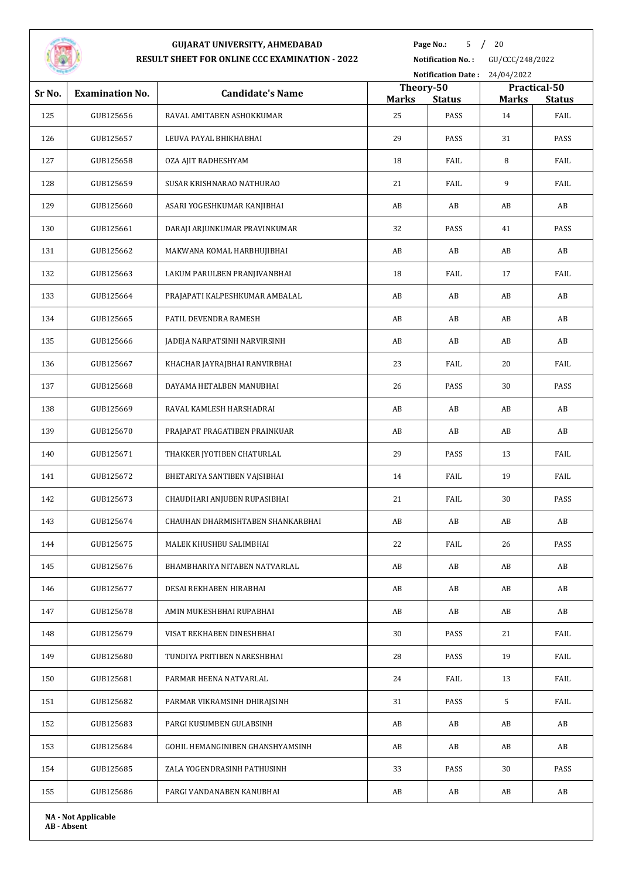

**Page No.:** 5 / 20

**Notification No. :** GU/CCC/248/2022 **Notification Date :** 24/04/2022

| Sr No. | <b>Examination No.</b>     | <b>Candidate's Name</b>           | Theory-50          |               |       | Practical-50  |
|--------|----------------------------|-----------------------------------|--------------------|---------------|-------|---------------|
|        |                            |                                   | <b>Marks</b><br>25 | <b>Status</b> | Marks | <b>Status</b> |
| 125    | GUB125656                  | RAVAL AMITABEN ASHOKKUMAR         |                    | PASS          | 14    | FAIL          |
| 126    | GUB125657                  | LEUVA PAYAL BHIKHABHAI            | 29                 | PASS          | 31    | PASS          |
| 127    | GUB125658                  | OZA AJIT RADHESHYAM               | 18                 | FAIL          | 8     | FAIL          |
| 128    | GUB125659                  | SUSAR KRISHNARAO NATHURAO         | 21                 | FAIL          | 9     | FAIL          |
| 129    | GUB125660                  | ASARI YOGESHKUMAR KANJIBHAI       | AB                 | AB            | AB    | AB            |
| 130    | GUB125661                  | DARAJI ARJUNKUMAR PRAVINKUMAR     | 32                 | PASS          | 41    | PASS          |
| 131    | GUB125662                  | MAKWANA KOMAL HARBHUJIBHAI        | AB                 | AB            | AB    | AB            |
| 132    | GUB125663                  | LAKUM PARULBEN PRANJIVANBHAI      | 18                 | FAIL          | 17    | FAIL          |
| 133    | GUB125664                  | PRAJAPATI KALPESHKUMAR AMBALAL    | AB                 | AB            | AB    | AB            |
| 134    | GUB125665                  | PATIL DEVENDRA RAMESH             | AB                 | AB            | AB    | AB            |
| 135    | GUB125666                  | JADEJA NARPATSINH NARVIRSINH      | AB                 | AB            | AB    | AB            |
| 136    | GUB125667                  | KHACHAR JAYRAJBHAI RANVIRBHAI     | 23                 | FAIL          | 20    | FAIL          |
| 137    | GUB125668                  | DAYAMA HETALBEN MANUBHAI          | 26                 | PASS          | 30    | PASS          |
| 138    | GUB125669                  | RAVAL KAMLESH HARSHADRAI          | AB                 | AB            | AB    | AB            |
| 139    | GUB125670                  | PRAJAPAT PRAGATIBEN PRAINKUAR     | AB                 | AB            | AB    | AB            |
| 140    | GUB125671                  | THAKKER JYOTIBEN CHATURLAL        | 29                 | PASS          | 13    | FAIL          |
| 141    | GUB125672                  | BHETARIYA SANTIBEN VAJSIBHAI      | 14                 | FAIL          | 19    | FAIL          |
| 142    | GUB125673                  | CHAUDHARI ANJUBEN RUPASIBHAI      | 21                 | FAIL          | 30    | PASS          |
| 143    | GUB125674                  | CHAUHAN DHARMISHTABEN SHANKARBHAI | AB                 | AB            | AB    | AB            |
| 144    | GUB125675                  | MALEK KHUSHBU SALIMBHAI           | 22                 | FAIL          | 26    | PASS          |
| 145    | GUB125676                  | BHAMBHARIYA NITABEN NATVARLAL     | AB                 | AB            | AB    | AB            |
| 146    | GUB125677                  | DESAI REKHABEN HIRABHAI           | AB                 | AB            | AB    | AB            |
| 147    | GUB125678                  | AMIN MUKESHBHAI RUPABHAI          | AB                 | AB            | AB    | AB            |
| 148    | GUB125679                  | VISAT REKHABEN DINESHBHAI         | 30                 | PASS          | 21    | FAIL          |
| 149    | GUB125680                  | TUNDIYA PRITIBEN NARESHBHAI       | 28                 | PASS          | 19    | FAIL          |
| 150    | GUB125681                  | PARMAR HEENA NATVARLAL            | 24                 | FAIL          | 13    | FAIL          |
| 151    | GUB125682                  | PARMAR VIKRAMSINH DHIRAJSINH      | 31                 | PASS          | 5     | FAIL          |
| 152    | GUB125683                  | PARGI KUSUMBEN GULABSINH          | AB                 | AB            | AB    | AB            |
| 153    | GUB125684                  | GOHIL HEMANGINIBEN GHANSHYAMSINH  | AB                 | AB            | AB    | AB            |
| 154    | GUB125685                  | ZALA YOGENDRASINH PATHUSINH       | 33                 | PASS          | 30    | PASS          |
| 155    | GUB125686                  | PARGI VANDANABEN KANUBHAI         | AB                 | AB            | AB    | AB            |
|        | <b>NA - Not Applicable</b> |                                   |                    |               |       |               |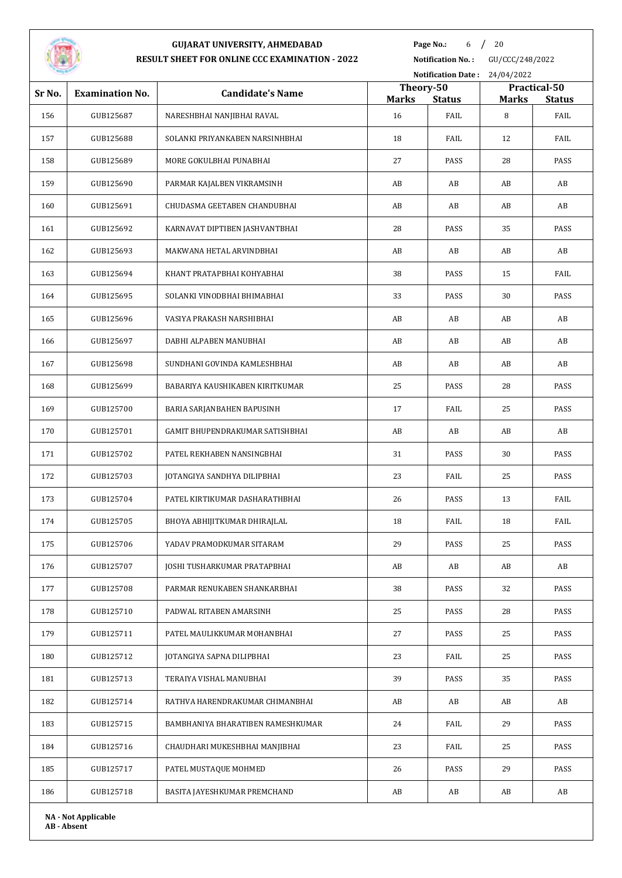

**Page No.:** 6 / 20

**Notification No. :** GU/CCC/248/2022

| <b>Notification Date:</b><br>24/04/2022 |                            |                                   |                           |                       |                   |               |
|-----------------------------------------|----------------------------|-----------------------------------|---------------------------|-----------------------|-------------------|---------------|
| Sr No.                                  | <b>Examination No.</b>     | <b>Candidate's Name</b>           | Theory-50<br>Practical-50 |                       |                   | <b>Status</b> |
| 156                                     | GUB125687                  | NARESHBHAI NANJIBHAI RAVAL        | <b>Marks</b><br>16        | <b>Status</b><br>FAIL | <b>Marks</b><br>8 | FAIL          |
| 157                                     | GUB125688                  | SOLANKI PRIYANKABEN NARSINHBHAI   | 18                        | FAIL                  | 12                | FAIL          |
| 158                                     | GUB125689                  | MORE GOKULBHAI PUNABHAI           | 27                        | PASS                  | 28                | PASS          |
| 159                                     | GUB125690                  | PARMAR KAJALBEN VIKRAMSINH        | AB                        | AB                    | AB                | AB            |
| 160                                     | GUB125691                  | CHUDASMA GEETABEN CHANDUBHAI      | AB                        | AB                    | AB                | AB            |
| 161                                     | GUB125692                  | KARNAVAT DIPTIBEN JASHVANTBHAI    | 28                        | PASS                  | 35                | PASS          |
| 162                                     | GUB125693                  | MAKWANA HETAL ARVINDBHAI          | AB                        | AB                    | AB                | AB            |
| 163                                     | GUB125694                  | KHANT PRATAPBHAI KOHYABHAI        | 38                        | PASS                  | 15                | FAIL          |
| 164                                     | GUB125695                  | SOLANKI VINODBHAI BHIMABHAI       | 33                        | PASS                  | 30                | PASS          |
| 165                                     | GUB125696                  | VASIYA PRAKASH NARSHIBHAI         | AB                        | AB                    | AB                | AB            |
| 166                                     | GUB125697                  | DABHI ALPABEN MANUBHAI            | AB                        | AB                    | AB                | AB            |
| 167                                     | GUB125698                  | SUNDHANI GOVINDA KAMLESHBHAI      | AB                        | AB                    | AB                | AB            |
| 168                                     | GUB125699                  | BABARIYA KAUSHIKABEN KIRITKUMAR   | 25                        | PASS                  | 28                | PASS          |
| 169                                     | GUB125700                  | BARIA SARJANBAHEN BAPUSINH        | 17                        | FAIL                  | 25                | PASS          |
| 170                                     | GUB125701                  | GAMIT BHUPENDRAKUMAR SATISHBHAI   | AB                        | AB                    | AB                | AB            |
| 171                                     | GUB125702                  | PATEL REKHABEN NANSINGBHAI        | 31                        | PASS                  | 30                | PASS          |
| 172                                     | GUB125703                  | JOTANGIYA SANDHYA DILIPBHAI       | 23                        | FAIL                  | 25                | PASS          |
| 173                                     | GUB125704                  | PATEL KIRTIKUMAR DASHARATHBHAI    | 26                        | PASS                  | 13                | FAIL          |
| 174                                     | GUB125705                  | BHOYA ABHIJITKUMAR DHIRAJLAL      | 18                        | FAIL                  | 18                | FAIL          |
| 175                                     | GUB125706                  | YADAV PRAMODKUMAR SITARAM         | 29                        | PASS                  | 25                | PASS          |
| 176                                     | GUB125707                  | JOSHI TUSHARKUMAR PRATAPBHAI      | AB                        | AB                    | AB                | AB            |
| 177                                     | GUB125708                  | PARMAR RENUKABEN SHANKARBHAI      | 38                        | PASS                  | 32                | PASS          |
| 178                                     | GUB125710                  | PADWAL RITABEN AMARSINH           | 25                        | PASS                  | 28                | PASS          |
| 179                                     | GUB125711                  | PATEL MAULIKKUMAR MOHANBHAI       | 27                        | PASS                  | 25                | PASS          |
| 180                                     | GUB125712                  | JOTANGIYA SAPNA DILIPBHAI         | 23                        | FAIL                  | 25                | PASS          |
| 181                                     | GUB125713                  | TERAIYA VISHAL MANUBHAI           | 39                        | PASS                  | 35                | PASS          |
| 182                                     | GUB125714                  | RATHVA HARENDRAKUMAR CHIMANBHAI   | AB                        | AB                    | AB                | AB            |
| 183                                     | GUB125715                  | BAMBHANIYA BHARATIBEN RAMESHKUMAR | 24                        | FAIL                  | 29                | PASS          |
| 184                                     | GUB125716                  | CHAUDHARI MUKESHBHAI MANJIBHAI    | 23                        | FAIL                  | 25                | PASS          |
| 185                                     | GUB125717                  | PATEL MUSTAQUE MOHMED             | 26                        | PASS                  | 29                | PASS          |
| 186                                     | GUB125718                  | BASITA JAYESHKUMAR PREMCHAND      | AB                        | AB                    | AB                | AB            |
|                                         | <b>NA - Not Applicable</b> |                                   |                           |                       |                   |               |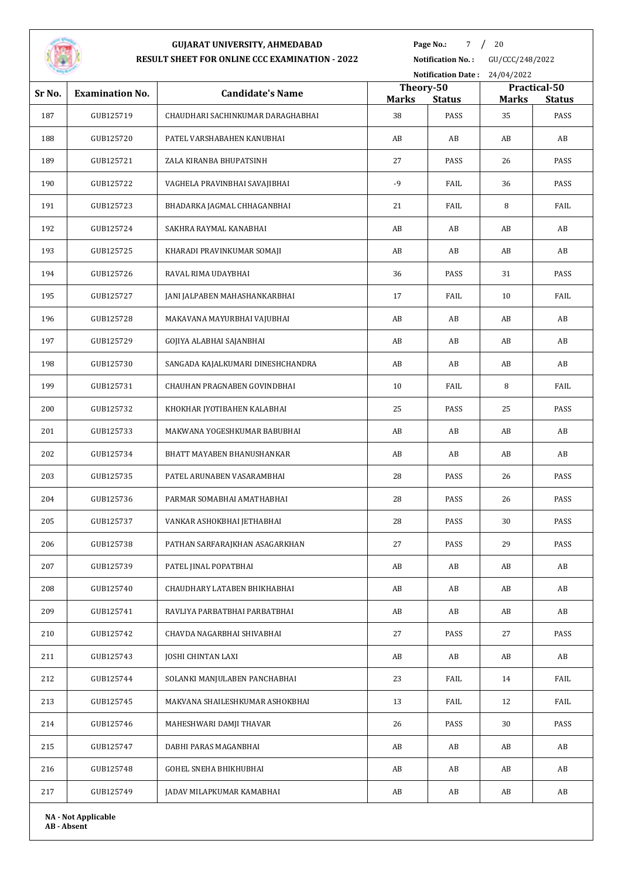

**Page No.:** / 20

**Notification No. :** GU/CCC/248/2022 **Notification Date :** 24/04/2022

| Sr No. | <b>Examination No.</b>     | <b>Candidate's Name</b>           | Theory-50<br><b>Marks</b> | <b>Status</b> | <b>Marks</b> | Practical-50<br><b>Status</b> |
|--------|----------------------------|-----------------------------------|---------------------------|---------------|--------------|-------------------------------|
| 187    | GUB125719                  | CHAUDHARI SACHINKUMAR DARAGHABHAI | 38                        | PASS          | 35           | PASS                          |
| 188    | GUB125720                  | PATEL VARSHABAHEN KANUBHAI        | AB                        | AB            | AB           | AB                            |
| 189    | GUB125721                  | ZALA KIRANBA BHUPATSINH           | 27                        | PASS          | 26           | PASS                          |
| 190    | GUB125722                  | VAGHELA PRAVINBHAI SAVAJIBHAI     | $-9$                      | FAIL          | 36           | PASS                          |
| 191    | GUB125723                  | BHADARKA JAGMAL CHHAGANBHAI       | 21                        | FAIL          | 8            | FAIL                          |
| 192    | GUB125724                  | SAKHRA RAYMAL KANABHAI            | AB                        | AB            | AB           | AB                            |
| 193    | GUB125725                  | KHARADI PRAVINKUMAR SOMAJI        | AB                        | AB            | AB           | AB                            |
| 194    | GUB125726                  | RAVAL RIMA UDAYBHAI               | 36                        | PASS          | 31           | PASS                          |
| 195    | GUB125727                  | JANI JALPABEN MAHASHANKARBHAI     | 17                        | FAIL          | 10           | FAIL                          |
| 196    | GUB125728                  | MAKAVANA MAYURBHAI VAJUBHAI       | AB                        | AB            | AB           | AB                            |
| 197    | GUB125729                  | GOJIYA ALABHAI SAJANBHAI          | AB                        | AB            | AB           | AB                            |
| 198    | GUB125730                  | SANGADA KAJALKUMARI DINESHCHANDRA | AB                        | AB            | AB           | AB                            |
| 199    | GUB125731                  | CHAUHAN PRAGNABEN GOVINDBHAI      | 10                        | FAIL          | 8            | FAIL                          |
| 200    | GUB125732                  | KHOKHAR JYOTIBAHEN KALABHAI       | 25                        | PASS          | 25           | PASS                          |
| 201    | GUB125733                  | MAKWANA YOGESHKUMAR BABUBHAI      | AB                        | AB            | AB           | AB                            |
| 202    | GUB125734                  | BHATT MAYABEN BHANUSHANKAR        | AB                        | AB            | AB           | AB                            |
| 203    | GUB125735                  | PATEL ARUNABEN VASARAMBHAI        | 28                        | PASS          | 26           | PASS                          |
| 204    | GUB125736                  | PARMAR SOMABHAI AMATHABHAI        | 28                        | PASS          | 26           | PASS                          |
| 205    | GUB125737                  | VANKAR ASHOKBHAI JETHABHAI        | 28                        | PASS          | 30           | PASS                          |
| 206    | GUB125738                  | PATHAN SARFARAJKHAN ASAGARKHAN    | 27                        | PASS          | 29           | PASS                          |
| 207    | GUB125739                  | PATEL JINAL POPATBHAI             | AB                        | AB            | AB           | AB                            |
| 208    | GUB125740                  | CHAUDHARY LATABEN BHIKHABHAI      | AB                        | AB            | AB           | AB                            |
| 209    | GUB125741                  | RAVLIYA PARBATBHAI PARBATBHAI     | AB                        | AB            | AB           | AB                            |
| 210    | GUB125742                  | CHAVDA NAGARBHAI SHIVABHAI        | 27                        | PASS          | 27           | PASS                          |
| 211    | GUB125743                  | <b>JOSHI CHINTAN LAXI</b>         | AB                        | AB            | AB           | AB                            |
| 212    | GUB125744                  | SOLANKI MANJULABEN PANCHABHAI     | 23                        | FAIL          | 14           | FAIL                          |
| 213    | GUB125745                  | MAKVANA SHAILESHKUMAR ASHOKBHAI   | 13                        | FAIL          | 12           | FAIL                          |
| 214    | GUB125746                  | MAHESHWARI DAMJI THAVAR           | 26                        | PASS          | 30           | PASS                          |
| 215    | GUB125747                  | DABHI PARAS MAGANBHAI             | AB                        | AB            | AB           | AB                            |
| 216    | GUB125748                  | GOHEL SNEHA BHIKHUBHAI            | AB                        | AB            | AB           | AB                            |
| 217    | GUB125749                  | JADAV MILAPKUMAR KAMABHAI         | AB                        | AB            | AB           | AB                            |
|        | <b>NA - Not Applicable</b> |                                   |                           |               |              |                               |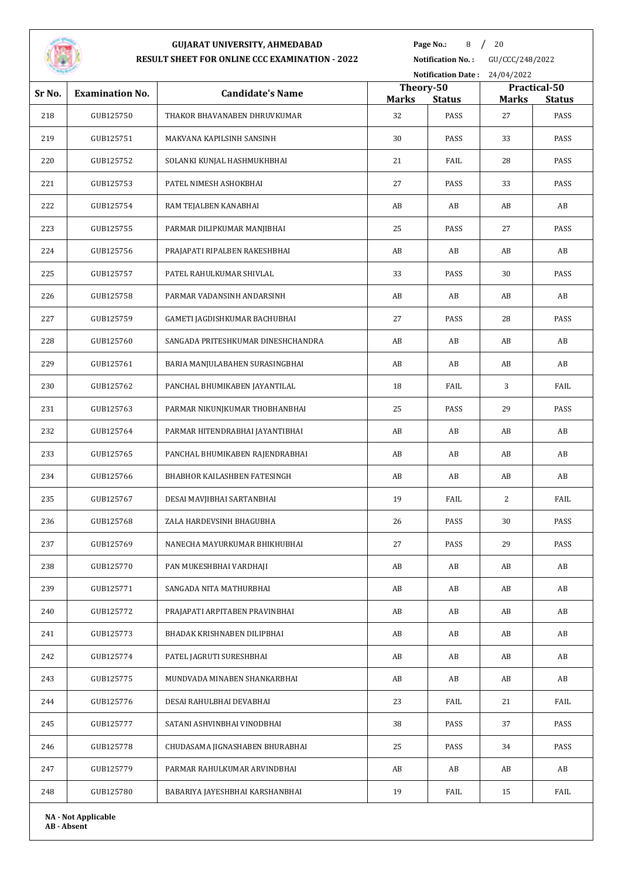

**Page No.:** / 20

**Notification No. :** GU/CCC/248/2022

|        |                            |                                    | Notification Date: 24/04/2022 |               |    |                                               |  |
|--------|----------------------------|------------------------------------|-------------------------------|---------------|----|-----------------------------------------------|--|
| Sr No. | <b>Examination No.</b>     | <b>Candidate's Name</b>            | Theory-50<br><b>Marks</b>     | <b>Status</b> |    | Practical-50<br><b>Marks</b><br><b>Status</b> |  |
| 218    | GUB125750                  | THAKOR BHAVANABEN DHRUVKUMAR       | 32                            | PASS          | 27 | PASS                                          |  |
| 219    | GUB125751                  | MAKVANA KAPILSINH SANSINH          | 30                            | PASS          | 33 | PASS                                          |  |
| 220    | GUB125752                  | SOLANKI KUNJAL HASHMUKHBHAI        | 21                            | FAIL          | 28 | PASS                                          |  |
| 221    | GUB125753                  | PATEL NIMESH ASHOKBHAI             | 27                            | PASS          | 33 | PASS                                          |  |
| 222    | GUB125754                  | RAM TEJALBEN KANABHAI              | AB                            | AB            | AB | AB                                            |  |
| 223    | GUB125755                  | PARMAR DILIPKUMAR MANJIBHAI        | 25                            | PASS          | 27 | PASS                                          |  |
| 224    | GUB125756                  | PRAJAPATI RIPALBEN RAKESHBHAI      | AB                            | AB            | AB | AB                                            |  |
| 225    | GUB125757                  | PATEL RAHULKUMAR SHIVLAL           | 33                            | PASS          | 30 | PASS                                          |  |
| 226    | GUB125758                  | PARMAR VADANSINH ANDARSINH         | AB                            | AB            | AB | AB                                            |  |
| 227    | GUB125759                  | GAMETI JAGDISHKUMAR BACHUBHAI      | 27                            | PASS          | 28 | PASS                                          |  |
| 228    | GUB125760                  | SANGADA PRITESHKUMAR DINESHCHANDRA | AB                            | AB            | AB | AB                                            |  |
| 229    | GUB125761                  | BARIA MANJULABAHEN SURASINGBHAI    | AB                            | AB            | AB | AB                                            |  |
| 230    | GUB125762                  | PANCHAL BHUMIKABEN JAYANTILAL      | 18                            | FAIL          | 3  | FAIL                                          |  |
| 231    | GUB125763                  | PARMAR NIKUNJKUMAR THOBHANBHAI     | 25                            | PASS          | 29 | PASS                                          |  |
| 232    | GUB125764                  | PARMAR HITENDRABHAI JAYANTIBHAI    | AB                            | AB            | AB | AB                                            |  |
| 233    | GUB125765                  | PANCHAL BHUMIKABEN RAJENDRABHAI    | AB                            | AB            | AB | AB                                            |  |
| 234    | GUB125766                  | BHABHOR KAILASHBEN FATESINGH       | AB                            | AB            | AB | AB                                            |  |
| 235    | GUB125767                  | DESAI MAVJIBHAI SARTANBHAI         | 19                            | FAIL          | 2  | FAIL                                          |  |
| 236    | GUB125768                  | ZALA HARDEVSINH BHAGUBHA           | 26                            | PASS          | 30 | PASS                                          |  |
| 237    | GUB125769                  | NANECHA MAYURKUMAR BHIKHUBHAI      | 27                            | PASS          | 29 | PASS                                          |  |
| 238    | GUB125770                  | PAN MUKESHBHAI VARDHAJI            | AB                            | AB            | AB | AB                                            |  |
| 239    | GUB125771                  | SANGADA NITA MATHURBHAI            | AB                            | AB            | AB | AB                                            |  |
| 240    | GUB125772                  | PRAJAPATI ARPITABEN PRAVINBHAI     | AB                            | AB            | AB | AB                                            |  |
| 241    | GUB125773                  | BHADAK KRISHNABEN DILIPBHAI        | AB                            | AB            | AB | AB                                            |  |
| 242    | GUB125774                  | PATEL JAGRUTI SURESHBHAI           | AB                            | AB            | AB | AB                                            |  |
| 243    | GUB125775                  | MUNDVADA MINABEN SHANKARBHAI       | AB                            | AB            | AB | AB                                            |  |
| 244    | GUB125776                  | DESAI RAHULBHAI DEVABHAI           | 23                            | FAIL          | 21 | FAIL                                          |  |
| 245    | GUB125777                  | SATANI ASHVINBHAI VINODBHAI        | 38                            | PASS          | 37 | PASS                                          |  |
| 246    | GUB125778                  | CHUDASAMA JIGNASHABEN BHURABHAI    | 25                            | PASS          | 34 | PASS                                          |  |
| 247    | GUB125779                  | PARMAR RAHULKUMAR ARVINDBHAI       | AB                            | AB            | AB | AB                                            |  |
| 248    | GUB125780                  | BABARIYA JAYESHBHAI KARSHANBHAI    | 19                            | FAIL          | 15 | FAIL                                          |  |
|        | <b>NA - Not Applicable</b> |                                    |                               |               |    |                                               |  |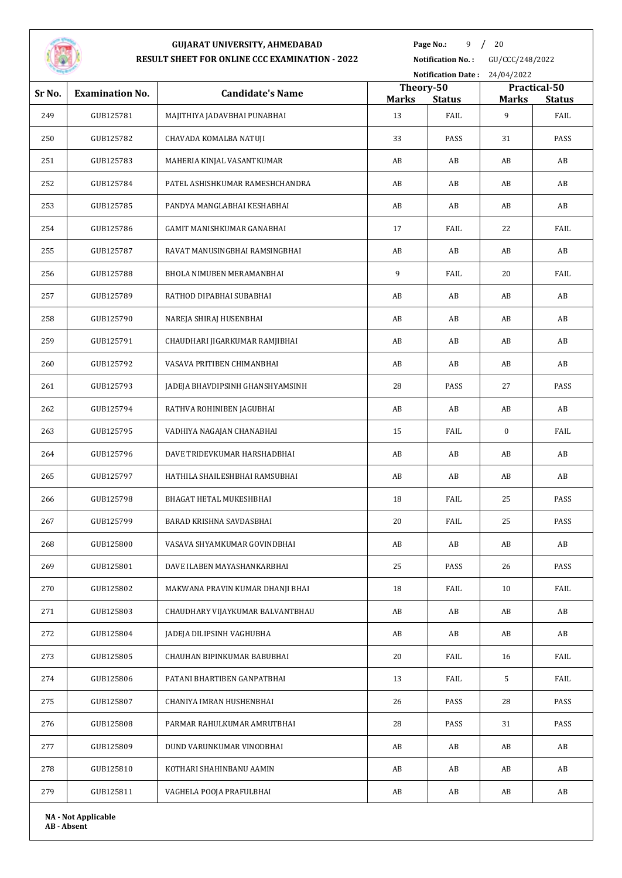

**Page No.:** 9 / 20

**Notification No. :** GU/CCC/248/2022

| <b>Notification Date:</b><br>24/04/2022 |                            |                                  |                    |                       |                   |                       |
|-----------------------------------------|----------------------------|----------------------------------|--------------------|-----------------------|-------------------|-----------------------|
| Sr No.                                  | <b>Examination No.</b>     | <b>Candidate's Name</b>          | Theory-50          |                       |                   | Practical-50          |
| 249                                     | GUB125781                  | MAJITHIYA JADAVBHAI PUNABHAI     | <b>Marks</b><br>13 | <b>Status</b><br>FAIL | <b>Marks</b><br>9 | <b>Status</b><br>FAIL |
| 250                                     | GUB125782                  | CHAVADA KOMALBA NATUJI           | 33                 | PASS                  | 31                | PASS                  |
| 251                                     | GUB125783                  | MAHERIA KINJAL VASANTKUMAR       | AB                 | AB                    | AB                | AB                    |
| 252                                     | GUB125784                  | PATEL ASHISHKUMAR RAMESHCHANDRA  | AB                 | AB                    | AB                | AB                    |
| 253                                     | GUB125785                  | PANDYA MANGLABHAI KESHABHAI      | AB                 | AB                    | AB                | AB                    |
| 254                                     | GUB125786                  | GAMIT MANISHKUMAR GANABHAI       | 17                 | FAIL                  | 22                | FAIL                  |
|                                         |                            |                                  |                    |                       |                   |                       |
| 255                                     | GUB125787                  | RAVAT MANUSINGBHAI RAMSINGBHAI   | AB                 | AB                    | AB                | AB                    |
| 256                                     | GUB125788                  | BHOLA NIMUBEN MERAMANBHAI        | 9                  | FAIL                  | 20                | FAIL                  |
| 257                                     | GUB125789                  | RATHOD DIPABHAI SUBABHAI         | AB                 | AB                    | AB                | AB                    |
| 258                                     | GUB125790                  | NAREJA SHIRAJ HUSENBHAI          | AB                 | AB                    | AB                | AB                    |
| 259                                     | GUB125791                  | CHAUDHARI JIGARKUMAR RAMJIBHAI   | AB                 | AB                    | AB                | AB                    |
| 260                                     | GUB125792                  | VASAVA PRITIBEN CHIMANBHAI       | AB                 | AB                    | AB                | AB                    |
| 261                                     | GUB125793                  | JADEJA BHAVDIPSINH GHANSHYAMSINH | 28                 | PASS                  | 27                | PASS                  |
| 262                                     | GUB125794                  | RATHVA ROHINIBEN JAGUBHAI        | AB                 | AB                    | AB                | AB                    |
| 263                                     | GUB125795                  | VADHIYA NAGAJAN CHANABHAI        | 15                 | FAIL                  | $\bf{0}$          | FAIL                  |
| 264                                     | GUB125796                  | DAVE TRIDEVKUMAR HARSHADBHAI     | AB                 | AB                    | AB                | AB                    |
| 265                                     | GUB125797                  | HATHILA SHAILESHBHAI RAMSUBHAI   | AB                 | AB                    | AB                | AB                    |
| 266                                     | GUB125798                  | BHAGAT HETAL MUKESHBHAI          | 18                 | FAIL                  | 25                | PASS                  |
| 267                                     | GUB125799                  | BARAD KRISHNA SAVDASBHAI         | 20                 | FAIL                  | 25                | PASS                  |
| 268                                     | GUB125800                  | VASAVA SHYAMKUMAR GOVINDBHAI     | AB                 | AB                    | AB                | AB                    |
| 269                                     | GUB125801                  | DAVE ILABEN MAYASHANKARBHAI      | 25                 | PASS                  | 26                | PASS                  |
| 270                                     | GUB125802                  | MAKWANA PRAVIN KUMAR DHANJI BHAI | 18                 | FAIL                  | 10                | FAIL                  |
| 271                                     | GUB125803                  | CHAUDHARY VIJAYKUMAR BALVANTBHAU | AB                 | AB                    | AB                | AB                    |
| 272                                     | GUB125804                  | JADEJA DILIPSINH VAGHUBHA        | AB                 | AB                    | AB                | AB                    |
| 273                                     | GUB125805                  | CHAUHAN BIPINKUMAR BABUBHAI      | 20                 | FAIL                  | 16                | FAIL                  |
| 274                                     | GUB125806                  | PATANI BHARTIBEN GANPATBHAI      | 13                 | FAIL                  | 5                 | FAIL                  |
| 275                                     | GUB125807                  | CHANIYA IMRAN HUSHENBHAI         | 26                 | PASS                  | 28                | PASS                  |
| 276                                     | GUB125808                  | PARMAR RAHULKUMAR AMRUTBHAI      | 28                 | PASS                  | 31                | PASS                  |
| 277                                     | GUB125809                  | DUND VARUNKUMAR VINODBHAI        | AB                 | AB                    | AB                | AB                    |
| 278                                     | GUB125810                  | KOTHARI SHAHINBANU AAMIN         | AB                 | AB                    | AB                | AB                    |
| 279                                     | GUB125811                  | VAGHELA POOJA PRAFULBHAI         | AB                 | AB                    | AB                | AB                    |
|                                         | <b>NA - Not Applicable</b> |                                  |                    |                       |                   |                       |
|                                         |                            |                                  |                    |                       |                   |                       |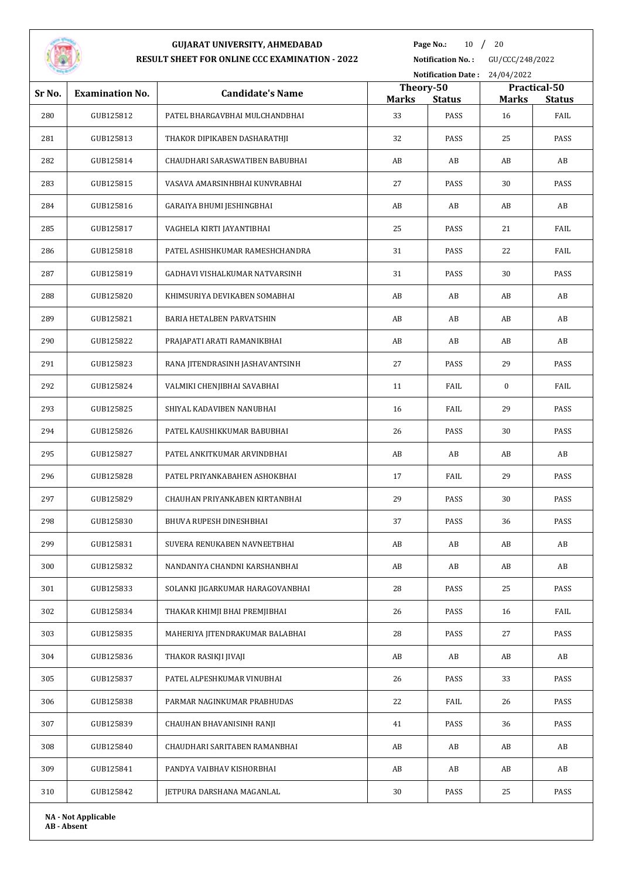

**Page No.:** 10 / 20

**Notification No. :** GU/CCC/248/2022 **Notification Date :** 24/04/2022

|        |                            |                                  | Theory-50    |               |          | Practical-50  |
|--------|----------------------------|----------------------------------|--------------|---------------|----------|---------------|
| Sr No. | <b>Examination No.</b>     | <b>Candidate's Name</b>          | <b>Marks</b> | <b>Status</b> | Marks    | <b>Status</b> |
| 280    | GUB125812                  | PATEL BHARGAVBHAI MULCHANDBHAI   | 33           | PASS          | 16       | FAIL          |
| 281    | GUB125813                  | THAKOR DIPIKABEN DASHARATHJI     | 32           | PASS          | 25       | PASS          |
| 282    | GUB125814                  | CHAUDHARI SARASWATIBEN BABUBHAI  | AB           | AB            | AB       | AB            |
| 283    | GUB125815                  | VASAVA AMARSINHBHAI KUNVRABHAI   | 27           | PASS          | 30       | PASS          |
| 284    | GUB125816                  | GARAIYA BHUMI JESHINGBHAI        | AB           | AB            | AB       | AB            |
| 285    | GUB125817                  | VAGHELA KIRTI JAYANTIBHAI        | 25           | PASS          | 21       | FAIL          |
| 286    | GUB125818                  | PATEL ASHISHKUMAR RAMESHCHANDRA  | 31           | PASS          | 22       | FAIL          |
| 287    | GUB125819                  | GADHAVI VISHALKUMAR NATVARSINH   | 31           | PASS          | 30       | PASS          |
| 288    | GUB125820                  | KHIMSURIYA DEVIKABEN SOMABHAI    | AB           | AB            | AB       | AB            |
| 289    | GUB125821                  | BARIA HETALBEN PARVATSHIN        | AB           | AB            | AB       | AB            |
| 290    | GUB125822                  | PRAJAPATI ARATI RAMANIKBHAI      | AB           | AB            | AB       | AB            |
| 291    | GUB125823                  | RANA JITENDRASINH JASHAVANTSINH  | 27           | PASS          | 29       | PASS          |
| 292    | GUB125824                  | VALMIKI CHENJIBHAI SAVABHAI      | 11           | FAIL          | $\bf{0}$ | FAIL          |
| 293    | GUB125825                  | SHIYAL KADAVIBEN NANUBHAI        | 16           | FAIL          | 29       | PASS          |
| 294    | GUB125826                  | PATEL KAUSHIKKUMAR BABUBHAI      | 26           | PASS          | 30       | PASS          |
| 295    | GUB125827                  | PATEL ANKITKUMAR ARVINDBHAI      | AB           | AB            | AB       | AB            |
| 296    | GUB125828                  | PATEL PRIYANKABAHEN ASHOKBHAI    | 17           | FAIL          | 29       | PASS          |
| 297    | GUB125829                  | CHAUHAN PRIYANKABEN KIRTANBHAI   | 29           | PASS          | 30       | PASS          |
| 298    | GUB125830                  | BHUVA RUPESH DINESHBHAI          | 37           | PASS          | 36       | PASS          |
| 299    | GUB125831                  | SUVERA RENUKABEN NAVNEETBHAI     | AB           | AB            | AB       | AB            |
| 300    | GUB125832                  | NANDANIYA CHANDNI KARSHANBHAI    | AB           | AB            | AB       | AB            |
| 301    | GUB125833                  | SOLANKI JIGARKUMAR HARAGOVANBHAI | 28           | PASS          | 25       | PASS          |
| 302    | GUB125834                  | THAKAR KHIMJI BHAI PREMJIBHAI    | 26           | PASS          | 16       | FAIL          |
| 303    | GUB125835                  | MAHERIYA JITENDRAKUMAR BALABHAI  | 28           | PASS          | 27       | PASS          |
| 304    | GUB125836                  | THAKOR RASIKJI JIVAJI            | AB           | AB            | AB       | AB            |
| 305    | GUB125837                  | PATEL ALPESHKUMAR VINUBHAI       | 26           | PASS          | 33       | PASS          |
| 306    | GUB125838                  | PARMAR NAGINKUMAR PRABHUDAS      | 22           | FAIL          | 26       | PASS          |
| 307    | GUB125839                  | CHAUHAN BHAVANISINH RANJI        | 41           | PASS          | 36       | PASS          |
| 308    | GUB125840                  | CHAUDHARI SARITABEN RAMANBHAI    | AB           | AB            | AB       | AB            |
| 309    | GUB125841                  | PANDYA VAIBHAV KISHORBHAI        | AB           | AB            | AB       | AB            |
| 310    | GUB125842                  | JETPURA DARSHANA MAGANLAL        | 30           | PASS          | 25       | PASS          |
|        | <b>NA</b> - Not Applicable |                                  |              |               |          |               |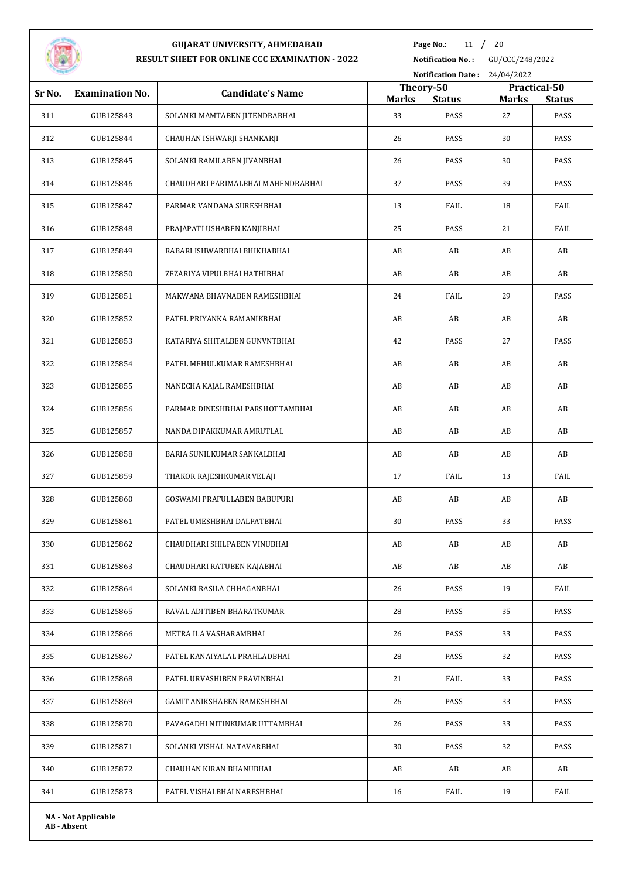

**Page No.:** 11 / 20

**Notification No. :** GU/CCC/248/2022

|        |                        | Notification Date: 24/04/2022      |                                                                            |      |    |               |
|--------|------------------------|------------------------------------|----------------------------------------------------------------------------|------|----|---------------|
| Sr No. | <b>Examination No.</b> | <b>Candidate's Name</b>            | Theory-50<br>Practical-50<br><b>Status</b><br><b>Marks</b><br><b>Marks</b> |      |    | <b>Status</b> |
| 311    | GUB125843              | SOLANKI MAMTABEN JITENDRABHAI      | 33                                                                         | PASS | 27 | PASS          |
| 312    | GUB125844              | CHAUHAN ISHWARJI SHANKARJI         | 26                                                                         | PASS | 30 | PASS          |
| 313    | GUB125845              | SOLANKI RAMILABEN JIVANBHAI        | 26                                                                         | PASS | 30 | PASS          |
| 314    | GUB125846              | CHAUDHARI PARIMALBHAI MAHENDRABHAI | 37                                                                         | PASS | 39 | PASS          |
| 315    | GUB125847              | PARMAR VANDANA SURESHBHAI          | 13                                                                         | FAIL | 18 | FAIL          |
| 316    | GUB125848              | PRAJAPATI USHABEN KANJIBHAI        | 25                                                                         | PASS | 21 | FAIL          |
| 317    | GUB125849              | RABARI ISHWARBHAI BHIKHABHAI       | AB                                                                         | AB   | AB | AB            |
| 318    | GUB125850              | ZEZARIYA VIPULBHAI HATHIBHAI       | AB                                                                         | AB   | AB | AB            |
| 319    | GUB125851              | MAKWANA BHAVNABEN RAMESHBHAI       | 24                                                                         | FAIL | 29 | PASS          |
| 320    | GUB125852              | PATEL PRIYANKA RAMANIKBHAI         | AB                                                                         | AB   | AB | AB            |
| 321    | GUB125853              | KATARIYA SHITALBEN GUNVNTBHAI      | 42                                                                         | PASS | 27 | PASS          |
| 322    | GUB125854              | PATEL MEHULKUMAR RAMESHBHAI        | AB                                                                         | AB   | AB | AB            |
| 323    | GUB125855              | NANECHA KAJAL RAMESHBHAI           | AB                                                                         | AB   | AB | AB            |
| 324    | GUB125856              | PARMAR DINESHBHAI PARSHOTTAMBHAI   | AB                                                                         | AB   | AB | AB            |
| 325    | GUB125857              | NANDA DIPAKKUMAR AMRUTLAL          | AB                                                                         | AB   | AB | AB            |
| 326    | GUB125858              | BARIA SUNILKUMAR SANKALBHAI        | AB                                                                         | AB   | AB | AB            |
| 327    | GUB125859              | THAKOR RAJESHKUMAR VELAJI          | 17                                                                         | FAIL | 13 | FAIL          |
| 328    | GUB125860              | GOSWAMI PRAFULLABEN BABUPURI       | AB                                                                         | AB   | AB | AB            |
| 329    | GUB125861              | PATEL UMESHBHAI DALPATBHAI         | 30                                                                         | PASS | 33 | PASS          |
| 330    | GUB125862              | CHAUDHARI SHILPABEN VINUBHAI       | AB                                                                         | AB   | AB | AB            |
| 331    | GUB125863              | CHAUDHARI RATUBEN KAJABHAI         | AB                                                                         | AB   | AB | AB            |
| 332    | GUB125864              | SOLANKI RASILA CHHAGANBHAI         | 26                                                                         | PASS | 19 | FAIL          |
| 333    | GUB125865              | RAVAL ADITIBEN BHARATKUMAR         | 28                                                                         | PASS | 35 | PASS          |
| 334    | GUB125866              | METRA ILA VASHARAMBHAI             | 26                                                                         | PASS | 33 | PASS          |
| 335    | GUB125867              | PATEL KANAIYALAL PRAHLADBHAI       | 28                                                                         | PASS | 32 | PASS          |
| 336    | GUB125868              | PATEL URVASHIBEN PRAVINBHAI        | 21                                                                         | FAIL | 33 | PASS          |
| 337    | GUB125869              | GAMIT ANIKSHABEN RAMESHBHAI        | 26                                                                         | PASS | 33 | PASS          |
| 338    | GUB125870              | PAVAGADHI NITINKUMAR UTTAMBHAI     | 26                                                                         | PASS | 33 | PASS          |
| 339    | GUB125871              | SOLANKI VISHAL NATAVARBHAI         | 30                                                                         | PASS | 32 | PASS          |
| 340    | GUB125872              | CHAUHAN KIRAN BHANUBHAI            | AB                                                                         | AB   | AB | AB            |
| 341    | GUB125873              | PATEL VISHALBHAI NARESHBHAI        | 16                                                                         | FAIL | 19 | FAIL          |
|        |                        |                                    |                                                                            |      |    |               |

**NA - Not Applicable AB - Absent**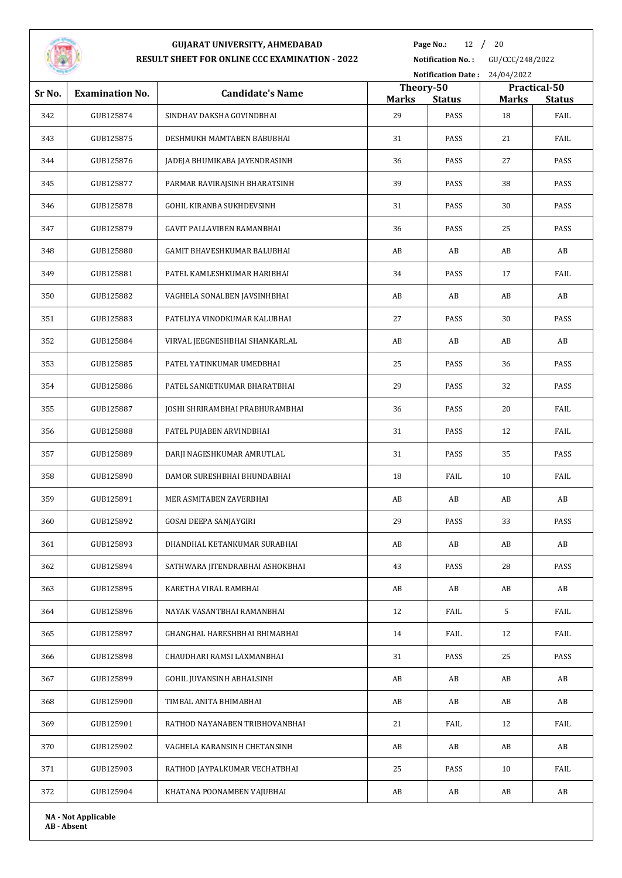

**Page No.:** 12 / 20

**Notification No. :** GU/CCC/248/2022

|        |                            |                                    |                           | Notification Date: 24/04/2022 |                                               |      |  |  |
|--------|----------------------------|------------------------------------|---------------------------|-------------------------------|-----------------------------------------------|------|--|--|
| Sr No. | <b>Examination No.</b>     | <b>Candidate's Name</b>            | Theory-50<br><b>Marks</b> | <b>Status</b>                 | Practical-50<br><b>Marks</b><br><b>Status</b> |      |  |  |
| 342    | GUB125874                  | SINDHAV DAKSHA GOVINDBHAI          | 29                        | PASS                          | 18                                            | FAIL |  |  |
| 343    | GUB125875                  | DESHMUKH MAMTABEN BABUBHAI         | 31                        | PASS                          | 21                                            | FAIL |  |  |
| 344    | GUB125876                  | JADEJA BHUMIKABA JAYENDRASINH      | 36                        | PASS                          | 27                                            | PASS |  |  |
| 345    | GUB125877                  | PARMAR RAVIRAJSINH BHARATSINH      | 39                        | PASS                          | 38                                            | PASS |  |  |
| 346    | GUB125878                  | <b>GOHIL KIRANBA SUKHDEVSINH</b>   | 31                        | PASS                          | 30                                            | PASS |  |  |
| 347    | GUB125879                  | <b>GAVIT PALLAVIBEN RAMANBHAI</b>  | 36                        | PASS                          | 25                                            | PASS |  |  |
| 348    | GUB125880                  | <b>GAMIT BHAVESHKUMAR BALUBHAI</b> | AB                        | AB                            | AB                                            | AB   |  |  |
| 349    | GUB125881                  | PATEL KAMLESHKUMAR HARIBHAI        | 34                        | PASS                          | 17                                            | FAIL |  |  |
| 350    | GUB125882                  | VAGHELA SONALBEN JAVSINHBHAI       | AB                        | AB                            | AB                                            | AB   |  |  |
| 351    | GUB125883                  | PATELIYA VINODKUMAR KALUBHAI       | 27                        | PASS                          | 30                                            | PASS |  |  |
| 352    | GUB125884                  | VIRVAL JEEGNESHBHAI SHANKARLAL     | AB                        | AB                            | AB                                            | AB   |  |  |
| 353    | GUB125885                  | PATEL YATINKUMAR UMEDBHAI          | 25                        | PASS                          | 36                                            | PASS |  |  |
| 354    | GUB125886                  | PATEL SANKETKUMAR BHARATBHAI       | 29                        | PASS                          | 32                                            | PASS |  |  |
| 355    | GUB125887                  | JOSHI SHRIRAMBHAI PRABHURAMBHAI    | 36                        | PASS                          | 20                                            | FAIL |  |  |
| 356    | GUB125888                  | PATEL PUJABEN ARVINDBHAI           | 31                        | PASS                          | 12                                            | FAIL |  |  |
| 357    | GUB125889                  | DARJI NAGESHKUMAR AMRUTLAL         | 31                        | PASS                          | 35                                            | PASS |  |  |
| 358    | GUB125890                  | DAMOR SURESHBHAI BHUNDABHAI        | 18                        | FAIL                          | 10                                            | FAIL |  |  |
| 359    | GUB125891                  | MER ASMITABEN ZAVERBHAI            | AB                        | AB                            | AB                                            | AB   |  |  |
| 360    | GUB125892                  | GOSAI DEEPA SANJAYGIRI             | 29                        | PASS                          | 33                                            | PASS |  |  |
| 361    | GUB125893                  | DHANDHAL KETANKUMAR SURABHAI       | AB                        | AB                            | AB                                            | AB   |  |  |
| 362    | GUB125894                  | SATHWARA JITENDRABHAI ASHOKBHAI    | 43                        | PASS                          | 28                                            | PASS |  |  |
| 363    | GUB125895                  | KARETHA VIRAL RAMBHAI              | AB                        | AB                            | AB                                            | AB   |  |  |
| 364    | GUB125896                  | NAYAK VASANTBHAI RAMANBHAI         | 12                        | FAIL                          | 5                                             | FAIL |  |  |
| 365    | GUB125897                  | GHANGHAL HARESHBHAI BHIMABHAI      | 14                        | FAIL                          | 12                                            | FAIL |  |  |
| 366    | GUB125898                  | CHAUDHARI RAMSI LAXMANBHAI         | 31                        | PASS                          | 25                                            | PASS |  |  |
| 367    | GUB125899                  | GOHIL JUVANSINH ABHALSINH          | AB                        | AB                            | AB                                            | AB   |  |  |
| 368    | GUB125900                  | TIMBAL ANITA BHIMABHAI             | AB                        | AB                            | AB                                            | AB   |  |  |
| 369    | GUB125901                  | RATHOD NAYANABEN TRIBHOVANBHAI     | 21                        | FAIL                          | 12                                            | FAIL |  |  |
| 370    | GUB125902                  | VAGHELA KARANSINH CHETANSINH       | AB                        | AB                            | AB                                            | AB   |  |  |
| 371    | GUB125903                  | RATHOD JAYPALKUMAR VECHATBHAI      | 25                        | PASS                          | 10                                            | FAIL |  |  |
| 372    | GUB125904                  | KHATANA POONAMBEN VAJUBHAI         | AB                        | AB                            | AB                                            | AB   |  |  |
|        | <b>NA - Not Applicable</b> |                                    |                           |                               |                                               |      |  |  |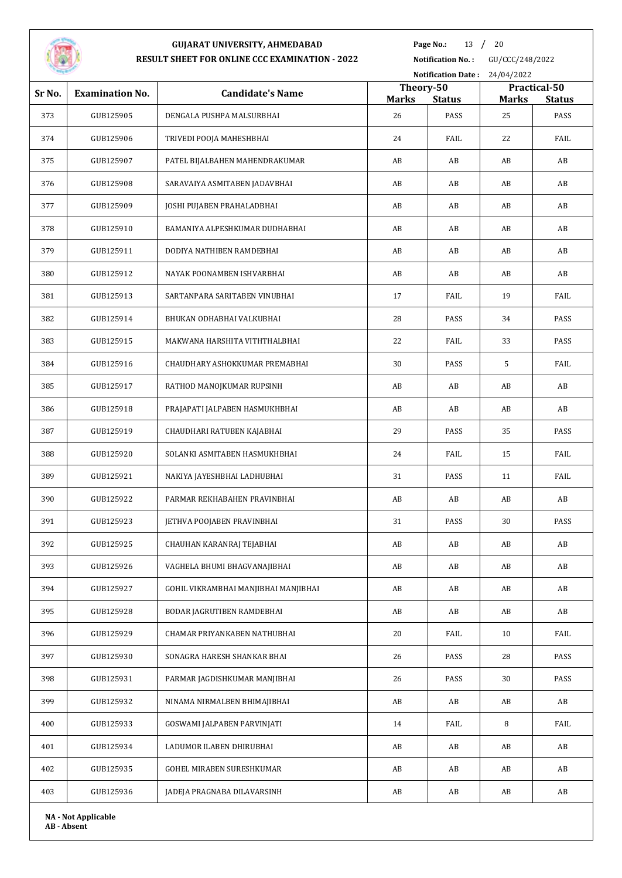

**Page No.:** 13 / 20

|        |                            |                                      |                    |                       | Notification Date: 24/04/2022 |                       |  |
|--------|----------------------------|--------------------------------------|--------------------|-----------------------|-------------------------------|-----------------------|--|
| Sr No. | <b>Examination No.</b>     | <b>Candidate's Name</b>              | Theory-50          |                       |                               | Practical-50          |  |
| 373    | GUB125905                  | DENGALA PUSHPA MALSURBHAI            | <b>Marks</b><br>26 | <b>Status</b><br>PASS | <b>Marks</b><br>25            | <b>Status</b><br>PASS |  |
| 374    | GUB125906                  | TRIVEDI POOJA MAHESHBHAI             | 24                 | FAIL                  | 22                            | FAIL                  |  |
| 375    | GUB125907                  | PATEL BIJALBAHEN MAHENDRAKUMAR       | AB                 | AB                    | AB                            | AB                    |  |
| 376    | GUB125908                  | SARAVAIYA ASMITABEN JADAVBHAI        | AB                 | AB                    | AB                            | AB                    |  |
| 377    | GUB125909                  | JOSHI PUJABEN PRAHALADBHAI           | AB                 | AB                    | AB                            | AB                    |  |
| 378    | GUB125910                  | BAMANIYA ALPESHKUMAR DUDHABHAI       | AB                 | AB                    | AB                            | AB                    |  |
| 379    | GUB125911                  | DODIYA NATHIBEN RAMDEBHAI            | AB                 | AB                    | AB                            | AB                    |  |
| 380    | GUB125912                  | NAYAK POONAMBEN ISHVARBHAI           | AB                 | AB                    | AB                            | AB                    |  |
| 381    | GUB125913                  | SARTANPARA SARITABEN VINUBHAI        | 17                 | FAIL                  | 19                            | FAIL                  |  |
| 382    | GUB125914                  | BHUKAN ODHABHAI VALKUBHAI            | 28                 | PASS                  | 34                            | PASS                  |  |
| 383    | GUB125915                  | MAKWANA HARSHITA VITHTHALBHAI        | 22                 | FAIL                  | 33                            | PASS                  |  |
| 384    | GUB125916                  | CHAUDHARY ASHOKKUMAR PREMABHAI       | 30                 | PASS                  | 5                             | FAIL                  |  |
| 385    | GUB125917                  | RATHOD MANOJKUMAR RUPSINH            | AB                 | AB                    | AB                            | AB                    |  |
| 386    | GUB125918                  | PRAJAPATI JALPABEN HASMUKHBHAI       | AB                 | AB                    | AB                            | AB                    |  |
| 387    | GUB125919                  | CHAUDHARI RATUBEN KAJABHAI           | 29                 | PASS                  | 35                            | PASS                  |  |
| 388    | GUB125920                  | SOLANKI ASMITABEN HASMUKHBHAI        | 24                 | FAIL                  | 15                            | FAIL                  |  |
| 389    | GUB125921                  | NAKIYA JAYESHBHAI LADHUBHAI          | 31                 | PASS                  | 11                            | FAIL                  |  |
| 390    | GUB125922                  | PARMAR REKHABAHEN PRAVINBHAI         | AB                 | AB                    | AB                            | AB                    |  |
| 391    | GUB125923                  | <b>JETHVA POOJABEN PRAVINBHAI</b>    | 31                 | PASS                  | 30                            | PASS                  |  |
| 392    | GUB125925                  | CHAUHAN KARANRAJ TEJABHAI            | AB                 | AB                    | AB                            | AB                    |  |
| 393    | GUB125926                  | VAGHELA BHUMI BHAGVANAJIBHAI         | AB                 | AB                    | AB                            | AB                    |  |
| 394    | GUB125927                  | GOHIL VIKRAMBHAI MANJIBHAI MANJIBHAI | AB                 | AB                    | AB                            | AB                    |  |
| 395    | GUB125928                  | BODAR JAGRUTIBEN RAMDEBHAI           | AB                 | AB                    | AB                            | AB                    |  |
| 396    | GUB125929                  | CHAMAR PRIYANKABEN NATHUBHAI         | 20                 | FAIL                  | 10                            | FAIL                  |  |
| 397    | GUB125930                  | SONAGRA HARESH SHANKAR BHAI          | 26                 | PASS                  | 28                            | PASS                  |  |
| 398    | GUB125931                  | PARMAR JAGDISHKUMAR MANJIBHAI        | 26                 | PASS                  | 30                            | PASS                  |  |
| 399    | GUB125932                  | NINAMA NIRMALBEN BHIMAJIBHAI         | AB                 | AB                    | AB                            | AB                    |  |
| 400    | GUB125933                  | <b>GOSWAMI JALPABEN PARVINJATI</b>   | 14                 | FAIL                  | 8                             | FAIL                  |  |
| 401    | GUB125934                  | LADUMOR ILABEN DHIRUBHAI             | AB                 | AB                    | AB                            | AB                    |  |
| 402    | GUB125935                  | GOHEL MIRABEN SURESHKUMAR            | AB                 | AB                    | AB                            | AB                    |  |
| 403    | GUB125936                  | JADEJA PRAGNABA DILAVARSINH          | AB                 | AB                    | AB                            | AB                    |  |
|        | <b>NA - Not Applicable</b> |                                      |                    |                       |                               |                       |  |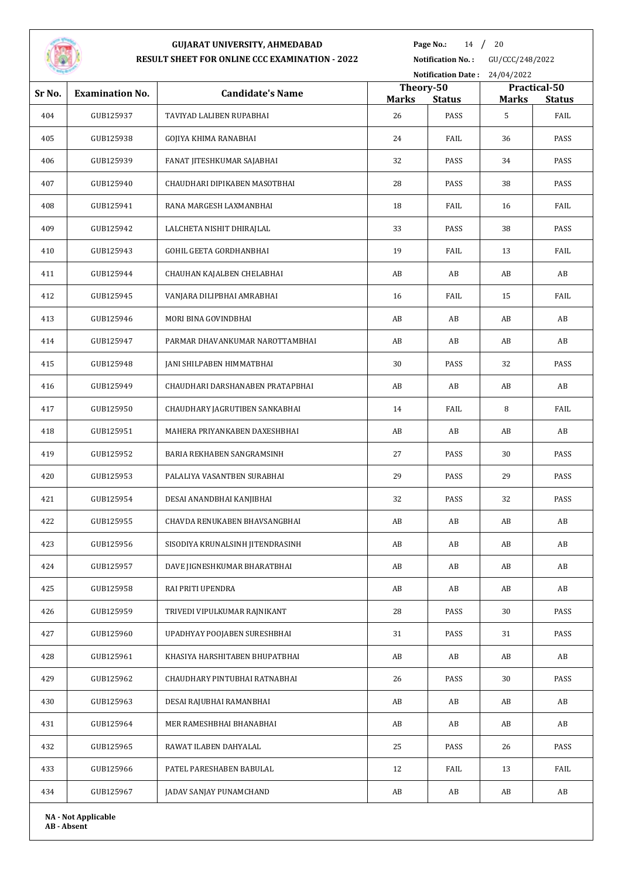

**Page No.:** 14 / 20

|        | Notification Date: 24/04/2022 |                                  |                           |               |              |                               |
|--------|-------------------------------|----------------------------------|---------------------------|---------------|--------------|-------------------------------|
| Sr No. | <b>Examination No.</b>        | <b>Candidate's Name</b>          | Theory-50<br><b>Marks</b> | <b>Status</b> | <b>Marks</b> | Practical-50<br><b>Status</b> |
| 404    | GUB125937                     | TAVIYAD LALIBEN RUPABHAI         | 26                        | PASS          | 5            | FAIL                          |
| 405    | GUB125938                     | GOJIYA KHIMA RANABHAI            | 24                        | FAIL          | 36           | PASS                          |
| 406    | GUB125939                     | FANAT JITESHKUMAR SAJABHAI       | 32                        | PASS          | 34           | PASS                          |
| 407    | GUB125940                     | CHAUDHARI DIPIKABEN MASOTBHAI    | 28                        | PASS          | 38           | PASS                          |
| 408    | GUB125941                     | RANA MARGESH LAXMANBHAI          | 18                        | FAIL          | 16           | FAIL                          |
| 409    | GUB125942                     | LALCHETA NISHIT DHIRAJLAL        | 33                        | PASS          | 38           | PASS                          |
| 410    | GUB125943                     | GOHIL GEETA GORDHANBHAI          | 19                        | FAIL          | 13           | FAIL                          |
| 411    | GUB125944                     | CHAUHAN KAJALBEN CHELABHAI       | AB                        | AB            | AB           | AB                            |
| 412    | GUB125945                     | VANJARA DILIPBHAI AMRABHAI       | 16                        | FAIL          | 15           | FAIL                          |
| 413    | GUB125946                     | MORI BINA GOVINDBHAI             | AB                        | AB            | AB           | AB                            |
| 414    | GUB125947                     | PARMAR DHAVANKUMAR NAROTTAMBHAI  | AB                        | AB            | AB           | AB                            |
| 415    | GUB125948                     | JANI SHILPABEN HIMMATBHAI        | 30                        | PASS          | 32           | PASS                          |
| 416    | GUB125949                     | CHAUDHARI DARSHANABEN PRATAPBHAI | AB                        | AB            | AB           | AB                            |
| 417    | GUB125950                     | CHAUDHARY JAGRUTIBEN SANKABHAI   | 14                        | FAIL          | 8            | FAIL                          |
| 418    | GUB125951                     | MAHERA PRIYANKABEN DAXESHBHAI    | AB                        | AB            | AB           | AB                            |
| 419    | GUB125952                     | BARIA REKHABEN SANGRAMSINH       | 27                        | PASS          | 30           | PASS                          |
| 420    | GUB125953                     | PALALIYA VASANTBEN SURABHAI      | 29                        | PASS          | 29           | PASS                          |
| 421    | GUB125954                     | DESAI ANANDBHAI KANJIBHAI        | 32                        | PASS          | 32           | PASS                          |
| 422    | GUB125955                     | CHAVDA RENUKABEN BHAVSANGBHAI    | AB                        | AB            | AB           | AB                            |
| 423    | GUB125956                     | SISODIYA KRUNALSINH JITENDRASINH | AB                        | AB            | AB           | AB                            |
| 424    | GUB125957                     | DAVE JIGNESHKUMAR BHARATBHAI     | AB                        | AB            | AB           | AB                            |
| 425    | GUB125958                     | RAI PRITI UPENDRA                | AB                        | AB            | AB           | AB                            |
| 426    | GUB125959                     | TRIVEDI VIPULKUMAR RAJNIKANT     | 28                        | PASS          | 30           | PASS                          |
| 427    | GUB125960                     | UPADHYAY POOJABEN SURESHBHAI     | 31                        | PASS          | 31           | PASS                          |
| 428    | GUB125961                     | KHASIYA HARSHITABEN BHUPATBHAI   | AB                        | AB            | AB           | AB                            |
| 429    | GUB125962                     | CHAUDHARY PINTUBHAI RATNABHAI    | 26                        | PASS          | 30           | PASS                          |
| 430    | GUB125963                     | DESAI RAJUBHAI RAMANBHAI         | AB                        | AB            | AB           | AB                            |
| 431    | GUB125964                     | MER RAMESHBHAI BHANABHAI         | AB                        | AB            | AB           | AB                            |
| 432    | GUB125965                     | RAWAT ILABEN DAHYALAL            | 25                        | PASS          | 26           | PASS                          |
| 433    | GUB125966                     | PATEL PARESHABEN BABULAL         | 12                        | FAIL          | 13           | FAIL                          |
| 434    | GUB125967                     | JADAV SANJAY PUNAMCHAND          | AB                        | AB            | AB           | AB                            |
|        |                               |                                  |                           |               |              |                               |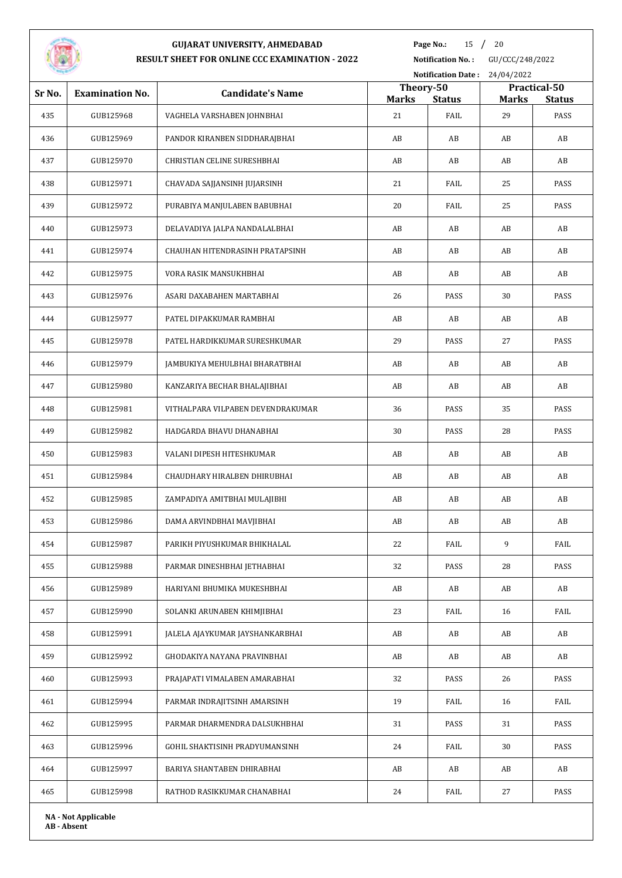

**Page No.:** 15 / 20

|        |                        |                                    |                           | <b>Notification Date:</b><br>24/04/2022 |              |                               |  |
|--------|------------------------|------------------------------------|---------------------------|-----------------------------------------|--------------|-------------------------------|--|
| Sr No. | <b>Examination No.</b> | <b>Candidate's Name</b>            | Theory-50<br><b>Marks</b> | <b>Status</b>                           | <b>Marks</b> | Practical-50<br><b>Status</b> |  |
| 435    | GUB125968              | VAGHELA VARSHABEN JOHNBHAI         | 21                        | FAIL                                    | 29           | PASS                          |  |
| 436    | GUB125969              | PANDOR KIRANBEN SIDDHARAJBHAI      | AB                        | AB                                      | AB           | AB                            |  |
| 437    | GUB125970              | <b>CHRISTIAN CELINE SURESHBHAI</b> | AB                        | AB                                      | AB           | AB                            |  |
| 438    | GUB125971              | CHAVADA SAJJANSINH JUJARSINH       | 21                        | FAIL                                    | 25           | PASS                          |  |
| 439    | GUB125972              | PURABIYA MANJULABEN BABUBHAI       | 20                        | FAIL                                    | 25           | PASS                          |  |
| 440    | GUB125973              | DELAVADIYA JALPA NANDALALBHAI      | AB                        | AB                                      | AB           | AB                            |  |
| 441    | GUB125974              | CHAUHAN HITENDRASINH PRATAPSINH    | AB                        | AB                                      | AB           | AB                            |  |
| 442    | GUB125975              | VORA RASIK MANSUKHBHAI             | AB                        | AB                                      | AB           | AB                            |  |
| 443    | GUB125976              | ASARI DAXABAHEN MARTABHAI          | 26                        | PASS                                    | 30           | PASS                          |  |
| 444    | GUB125977              | PATEL DIPAKKUMAR RAMBHAI           | AB                        | AB                                      | AB           | AB                            |  |
| 445    | GUB125978              | PATEL HARDIKKUMAR SURESHKUMAR      | 29                        | PASS                                    | 27           | PASS                          |  |
| 446    | GUB125979              | JAMBUKIYA MEHULBHAI BHARATBHAI     | AB                        | AB                                      | AB           | AB                            |  |
| 447    | GUB125980              | KANZARIYA BECHAR BHALAJIBHAI       | AB                        | AB                                      | AB           | AB                            |  |
| 448    | GUB125981              | VITHALPARA VILPABEN DEVENDRAKUMAR  | 36                        | PASS                                    | 35           | PASS                          |  |
| 449    | GUB125982              | HADGARDA BHAVU DHANABHAI           | 30                        | PASS                                    | 28           | PASS                          |  |
| 450    | GUB125983              | VALANI DIPESH HITESHKUMAR          | AB                        | AB                                      | AB           | AB                            |  |
| 451    | GUB125984              | CHAUDHARY HIRALBEN DHIRUBHAI       | AB                        | AB                                      | AB           | AB                            |  |
| 452    | GUB125985              | ZAMPADIYA AMITBHAI MULAJIBHI       | AB                        | AB                                      | AB           | AB                            |  |
| 453    | GUB125986              | DAMA ARVINDBHAI MAVJIBHAI          | AB                        | AB                                      | AB           | AB                            |  |
| 454    | GUB125987              | PARIKH PIYUSHKUMAR BHIKHALAL       | 22                        | FAIL                                    | 9            | FAIL                          |  |
| 455    | GUB125988              | PARMAR DINESHBHAI JETHABHAI        | 32                        | PASS                                    | 28           | PASS                          |  |
| 456    | GUB125989              | HARIYANI BHUMIKA MUKESHBHAI        | AB                        | AB                                      | AB           | AB                            |  |
| 457    | GUB125990              | SOLANKI ARUNABEN KHIMJIBHAI        | 23                        | FAIL                                    | 16           | FAIL                          |  |
| 458    | GUB125991              | JALELA AJAYKUMAR JAYSHANKARBHAI    | AB                        | AB                                      | AB           | AB                            |  |
| 459    | GUB125992              | GHODAKIYA NAYANA PRAVINBHAI        | AB                        | AB                                      | AB           | AB                            |  |
| 460    | GUB125993              | PRAJAPATI VIMALABEN AMARABHAI      | 32                        | PASS                                    | 26           | PASS                          |  |
| 461    | GUB125994              | PARMAR INDRAJITSINH AMARSINH       | 19                        | FAIL                                    | 16           | FAIL                          |  |
| 462    | GUB125995              | PARMAR DHARMENDRA DALSUKHBHAI      | 31                        | PASS                                    | 31           | PASS                          |  |
| 463    | GUB125996              | GOHIL SHAKTISINH PRADYUMANSINH     | 24                        | FAIL                                    | 30           | PASS                          |  |
| 464    | GUB125997              | BARIYA SHANTABEN DHIRABHAI         | AB                        | AB                                      | AB           | AB                            |  |
| 465    | GUB125998              | RATHOD RASIKKUMAR CHANABHAI        | 24                        | FAIL                                    | 27           | PASS                          |  |
|        |                        |                                    |                           |                                         |              |                               |  |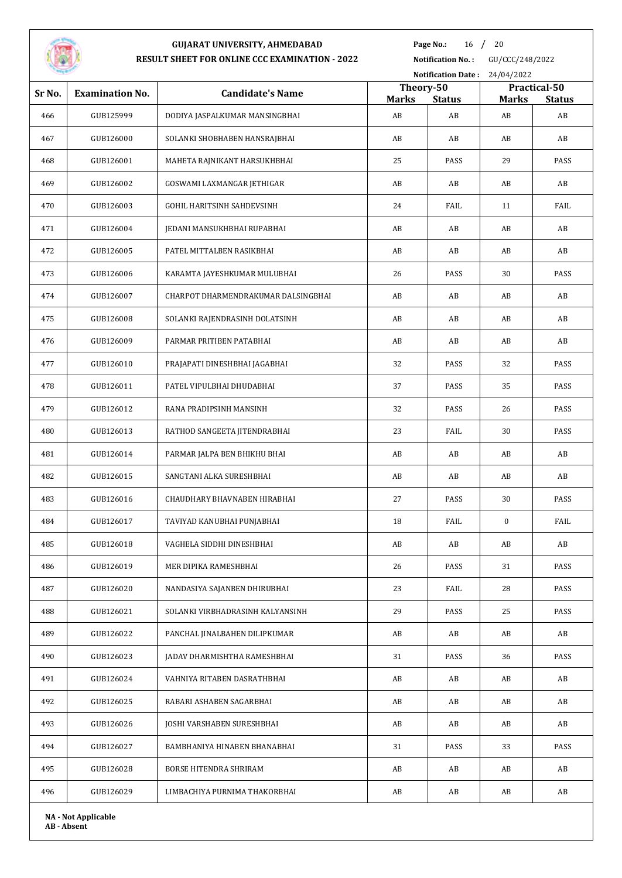

**Page No.:** 16 / 20

**Notification No. :** GU/CCC/248/2022

|        |                            |                                     |                    | Notification Date: 24/04/2022 |                    |                     |  |
|--------|----------------------------|-------------------------------------|--------------------|-------------------------------|--------------------|---------------------|--|
| Sr No. | <b>Examination No.</b>     | <b>Candidate's Name</b>             | Theory-50          |                               |                    | Practical-50        |  |
| 466    | GUB125999                  | DODIYA JASPALKUMAR MANSINGBHAI      | <b>Marks</b><br>AB | <b>Status</b><br>AB           | <b>Marks</b><br>AB | <b>Status</b><br>AB |  |
| 467    | GUB126000                  | SOLANKI SHOBHABEN HANSRAJBHAI       | AB                 | AB                            | AB                 | AB                  |  |
| 468    | GUB126001                  | MAHETA RAJNIKANT HARSUKHBHAI        | 25                 | PASS                          | 29                 | PASS                |  |
| 469    | GUB126002                  | GOSWAMI LAXMANGAR JETHIGAR          | AB                 | AB                            | AB                 | AB                  |  |
| 470    | GUB126003                  | GOHIL HARITSINH SAHDEVSINH          | 24                 | FAIL                          | 11                 | FAIL                |  |
| 471    | GUB126004                  | JEDANI MANSUKHBHAI RUPABHAI         | AB                 | AB                            | AB                 | AB                  |  |
| 472    | GUB126005                  | PATEL MITTALBEN RASIKBHAI           | AB                 | AB                            | AB                 | AB                  |  |
| 473    | GUB126006                  | KARAMTA JAYESHKUMAR MULUBHAI        | 26                 | PASS                          | 30                 | PASS                |  |
| 474    | GUB126007                  | CHARPOT DHARMENDRAKUMAR DALSINGBHAI | AB                 | AB                            | AB                 | AB                  |  |
| 475    | GUB126008                  | SOLANKI RAJENDRASINH DOLATSINH      | AB                 | AB                            | AB                 | AB                  |  |
| 476    | GUB126009                  | PARMAR PRITIBEN PATABHAI            | AB                 | AB                            | AB                 | AB                  |  |
| 477    | GUB126010                  | PRAJAPATI DINESHBHAI JAGABHAI       | 32                 | PASS                          | 32                 | PASS                |  |
| 478    | GUB126011                  | PATEL VIPULBHAI DHUDABHAI           | 37                 | PASS                          | 35                 | PASS                |  |
| 479    | GUB126012                  | RANA PRADIPSINH MANSINH             | 32                 | PASS                          | 26                 | PASS                |  |
| 480    | GUB126013                  | RATHOD SANGEETA JITENDRABHAI        | 23                 | FAIL                          | 30                 | PASS                |  |
| 481    | GUB126014                  | PARMAR JALPA BEN BHIKHU BHAI        | AB                 | AB                            | AB                 | AB                  |  |
| 482    | GUB126015                  | SANGTANI ALKA SURESHBHAI            | AB                 | AB                            | AB                 | AB                  |  |
| 483    | GUB126016                  | CHAUDHARY BHAVNABEN HIRABHAI        | 27                 | PASS                          | 30                 | PASS                |  |
| 484    | GUB126017                  | TAVIYAD KANUBHAI PUNJABHAI          | 18                 | FAIL                          | 0                  | FAIL                |  |
| 485    | GUB126018                  | VAGHELA SIDDHI DINESHBHAI           | AB                 | AB                            | AB                 | AB                  |  |
| 486    | GUB126019                  | MER DIPIKA RAMESHBHAI               | 26                 | PASS                          | 31                 | PASS                |  |
| 487    | GUB126020                  | NANDASIYA SAJANBEN DHIRUBHAI        | 23                 | FAIL                          | 28                 | PASS                |  |
| 488    | GUB126021                  | SOLANKI VIRBHADRASINH KALYANSINH    | 29                 | PASS                          | 25                 | PASS                |  |
| 489    | GUB126022                  | PANCHAL JINALBAHEN DILIPKUMAR       | AB                 | AB                            | AB                 | AB                  |  |
| 490    | GUB126023                  | JADAV DHARMISHTHA RAMESHBHAI        | 31                 | PASS                          | 36                 | PASS                |  |
| 491    | GUB126024                  | VAHNIYA RITABEN DASRATHBHAI         | AB                 | AB                            | AB                 | AB                  |  |
| 492    | GUB126025                  | RABARI ASHABEN SAGARBHAI            | AB                 | AB                            | AB                 | AB                  |  |
| 493    | GUB126026                  | JOSHI VARSHABEN SURESHBHAI          | AB                 | AB                            | AB                 | AB                  |  |
| 494    | GUB126027                  | BAMBHANIYA HINABEN BHANABHAI        | 31                 | PASS                          | 33                 | PASS                |  |
| 495    | GUB126028                  | BORSE HITENDRA SHRIRAM              | AB                 | AB                            | AB                 | AB                  |  |
| 496    | GUB126029                  | LIMBACHIYA PURNIMA THAKORBHAI       | AB                 | AB                            | AB                 | AB                  |  |
|        | <b>NA - Not Applicable</b> |                                     |                    |                               |                    |                     |  |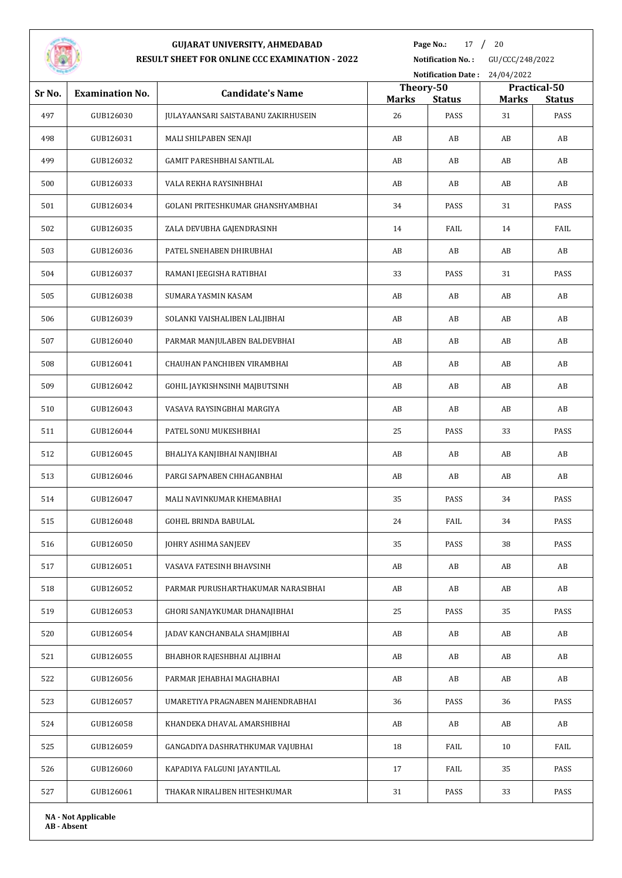

# **GUJARAT UNIVERSITY, AHMEDABAD**

**Page No.:** 17 / 20

**RESULT SHEET FOR ONLINE CCC EXAMINATION - 2022**

**Notification No. :** GU/CCC/248/2022

|        | Notification Date: 24/04/2022 |                                     |                           |               |              |                       |
|--------|-------------------------------|-------------------------------------|---------------------------|---------------|--------------|-----------------------|
| Sr No. | <b>Examination No.</b>        | <b>Candidate's Name</b>             | Theory-50<br><b>Marks</b> | <b>Status</b> | <b>Marks</b> | Practical-50          |
| 497    | GUB126030                     | JULAYAANSARI SAISTABANU ZAKIRHUSEIN | 26                        | PASS          | 31           | <b>Status</b><br>PASS |
| 498    | GUB126031                     | MALI SHILPABEN SENAJI               | AB                        | AB            | AB           | AB                    |
| 499    | GUB126032                     | GAMIT PARESHBHAI SANTILAL           | AB                        | AB            | AB           | AB                    |
| 500    | GUB126033                     | VALA REKHA RAYSINHBHAI              | AB                        | AB            | AB           | AB                    |
| 501    | GUB126034                     | GOLANI PRITESHKUMAR GHANSHYAMBHAI   | 34                        | PASS          | 31           | PASS                  |
| 502    | GUB126035                     | ZALA DEVUBHA GAJENDRASINH           | 14                        | FAIL          | 14           | FAIL                  |
| 503    | GUB126036                     | PATEL SNEHABEN DHIRUBHAI            | AB                        | AB            | AB           | AB                    |
| 504    | GUB126037                     | RAMANI JEEGISHA RATIBHAI            | 33                        | PASS          | 31           | PASS                  |
| 505    | GUB126038                     | SUMARA YASMIN KASAM                 | AB                        | AB            | AB           | AB                    |
| 506    | GUB126039                     | SOLANKI VAISHALIBEN LALJIBHAI       | AB                        | AB            | AB           | AB                    |
| 507    | GUB126040                     | PARMAR MANJULABEN BALDEVBHAI        | AB                        | AB            | AB           | AB                    |
| 508    | GUB126041                     | CHAUHAN PANCHIBEN VIRAMBHAI         | AB                        | AB            | AB           | AB                    |
| 509    | GUB126042                     | GOHIL JAYKISHNSINH MAJBUTSINH       | AB                        | AB            | AB           | AB                    |
| 510    | GUB126043                     | VASAVA RAYSINGBHAI MARGIYA          | AB                        | AB            | AB           | AB                    |
| 511    | GUB126044                     | PATEL SONU MUKESHBHAI               | 25                        | PASS          | 33           | PASS                  |
| 512    | GUB126045                     | BHALIYA KANJIBHAI NANJIBHAI         | AB                        | AB            | AB           | AB                    |
| 513    | GUB126046                     | PARGI SAPNABEN CHHAGANBHAI          | AB                        | AB            | AB           | AB                    |
| 514    | GUB126047                     | MALI NAVINKUMAR KHEMABHAI           | 35                        | PASS          | 34           | PASS                  |
| 515    | GUB126048                     | GOHEL BRINDA BABULAL                | 24                        | FAIL          | 34           | PASS                  |
| 516    | GUB126050                     | JOHRY ASHIMA SANJEEV                | 35                        | PASS          | 38           | PASS                  |
| 517    | GUB126051                     | VASAVA FATESINH BHAVSINH            | AB                        | AB            | AB           | AB                    |
| 518    | GUB126052                     | PARMAR PURUSHARTHAKUMAR NARASIBHAI  | AB                        | AB            | AB           | AB                    |
| 519    | GUB126053                     | GHORI SANJAYKUMAR DHANAJIBHAI       | 25                        | PASS          | 35           | PASS                  |
| 520    | GUB126054                     | JADAV KANCHANBALA SHAMJIBHAI        | AB                        | AB            | AB           | AB                    |
| 521    | GUB126055                     | BHABHOR RAJESHBHAI ALJIBHAI         | AB                        | AB            | AB           | AB                    |
| 522    | GUB126056                     | PARMAR JEHABHAI MAGHABHAI           | AB                        | AB            | AB           | AB                    |
| 523    | GUB126057                     | UMARETIYA PRAGNABEN MAHENDRABHAI    | 36                        | PASS          | 36           | PASS                  |
| 524    | GUB126058                     | KHANDEKA DHAVAL AMARSHIBHAI         | AB                        | AB            | AB           | AB                    |
| 525    | GUB126059                     | GANGADIYA DASHRATHKUMAR VAJUBHAI    | 18                        | FAIL          | 10           | FAIL                  |
| 526    | GUB126060                     | KAPADIYA FALGUNI JAYANTILAL         | 17                        | FAIL          | 35           | PASS                  |
| 527    | GUB126061                     | THAKAR NIRALIBEN HITESHKUMAR        | 31                        | PASS          | 33           | PASS                  |
|        | <b>NA - Not Applicable</b>    |                                     |                           |               |              |                       |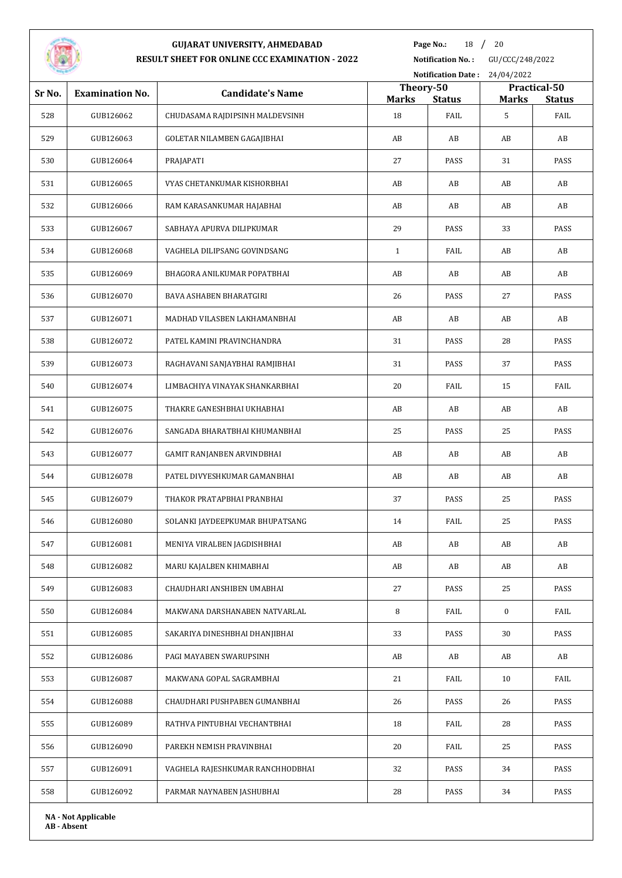

**Page No.:** 18 / 20

|        |                        |                                    | <b>Notification Date:</b><br>24/04/2022 |               |              |                               |
|--------|------------------------|------------------------------------|-----------------------------------------|---------------|--------------|-------------------------------|
| Sr No. | <b>Examination No.</b> | <b>Candidate's Name</b>            | Theory-50<br><b>Marks</b>               | <b>Status</b> | <b>Marks</b> | Practical-50<br><b>Status</b> |
| 528    | GUB126062              | CHUDASAMA RAJDIPSINH MALDEVSINH    | 18                                      | FAIL          | 5            | FAIL                          |
| 529    | GUB126063              | <b>GOLETAR NILAMBEN GAGAJIBHAI</b> | AB                                      | AB            | AB           | AB                            |
| 530    | GUB126064              | PRAJAPATI                          | 27                                      | PASS          | 31           | PASS                          |
| 531    | GUB126065              | VYAS CHETANKUMAR KISHORBHAI        | AB                                      | AB            | AB           | AB                            |
| 532    | GUB126066              | RAM KARASANKUMAR HAJABHAI          | AB                                      | AB            | AB           | AB                            |
| 533    | GUB126067              | SABHAYA APURVA DILIPKUMAR          | 29                                      | PASS          | 33           | PASS                          |
| 534    | GUB126068              | VAGHELA DILIPSANG GOVINDSANG       | $\mathbf{1}$                            | FAIL          | AB           | AB                            |
| 535    | GUB126069              | BHAGORA ANILKUMAR POPATBHAI        | AB                                      | AB            | AB           | AB                            |
| 536    | GUB126070              | <b>BAVA ASHABEN BHARATGIRI</b>     | 26                                      | PASS          | 27           | PASS                          |
| 537    | GUB126071              | MADHAD VILASBEN LAKHAMANBHAI       | AB                                      | AB            | AB           | AB                            |
| 538    | GUB126072              | PATEL KAMINI PRAVINCHANDRA         | 31                                      | PASS          | 28           | PASS                          |
| 539    | GUB126073              | RAGHAVANI SANJAYBHAI RAMJIBHAI     | 31                                      | PASS          | 37           | PASS                          |
| 540    | GUB126074              | LIMBACHIYA VINAYAK SHANKARBHAI     | 20                                      | FAIL          | 15           | FAIL                          |
| 541    | GUB126075              | THAKRE GANESHBHAI UKHABHAI         | AB                                      | AB            | AB           | AB                            |
| 542    | GUB126076              | SANGADA BHARATBHAI KHUMANBHAI      | 25                                      | PASS          | 25           | PASS                          |
| 543    | GUB126077              | GAMIT RANJANBEN ARVINDBHAI         | AB                                      | AB            | AB           | AB                            |
| 544    | GUB126078              | PATEL DIVYESHKUMAR GAMANBHAI       | AB                                      | AB            | AB           | AB                            |
| 545    | GUB126079              | THAKOR PRATAPBHAI PRANBHAI         | 37                                      | PASS          | 25           | PASS                          |
| 546    | GUB126080              | SOLANKI JAYDEEPKUMAR BHUPATSANG    | 14                                      | FAIL          | 25           | PASS                          |
| 547    | GUB126081              | MENIYA VIRALBEN JAGDISHBHAI        | AB                                      | AB            | AB           | AB                            |
| 548    | GUB126082              | MARU KAJALBEN KHIMABHAI            | AB                                      | AB            | AB           | AB                            |
| 549    | GUB126083              | CHAUDHARI ANSHIBEN UMABHAI         | 27                                      | PASS          | 25           | PASS                          |
| 550    | GUB126084              | MAKWANA DARSHANABEN NATVARLAL      | 8                                       | FAIL          | $\bf{0}$     | FAIL                          |
| 551    | GUB126085              | SAKARIYA DINESHBHAI DHANJIBHAI     | 33                                      | PASS          | 30           | PASS                          |
| 552    | GUB126086              | PAGI MAYABEN SWARUPSINH            | AB                                      | AB            | AB           | AB                            |
| 553    | GUB126087              | MAKWANA GOPAL SAGRAMBHAI           | 21                                      | FAIL          | 10           | FAIL                          |
| 554    | GUB126088              | CHAUDHARI PUSHPABEN GUMANBHAI      | 26                                      | PASS          | 26           | PASS                          |
| 555    | GUB126089              | RATHVA PINTUBHAI VECHANTBHAI       | 18                                      | FAIL          | 28           | PASS                          |
| 556    | GUB126090              | PAREKH NEMISH PRAVINBHAI           | 20                                      | FAIL          | 25           | PASS                          |
| 557    | GUB126091              | VAGHELA RAJESHKUMAR RANCHHODBHAI   | 32                                      | PASS          | 34           | PASS                          |
| 558    | GUB126092              | PARMAR NAYNABEN JASHUBHAI          | 28                                      | PASS          | 34           | PASS                          |
|        |                        |                                    |                                         |               |              |                               |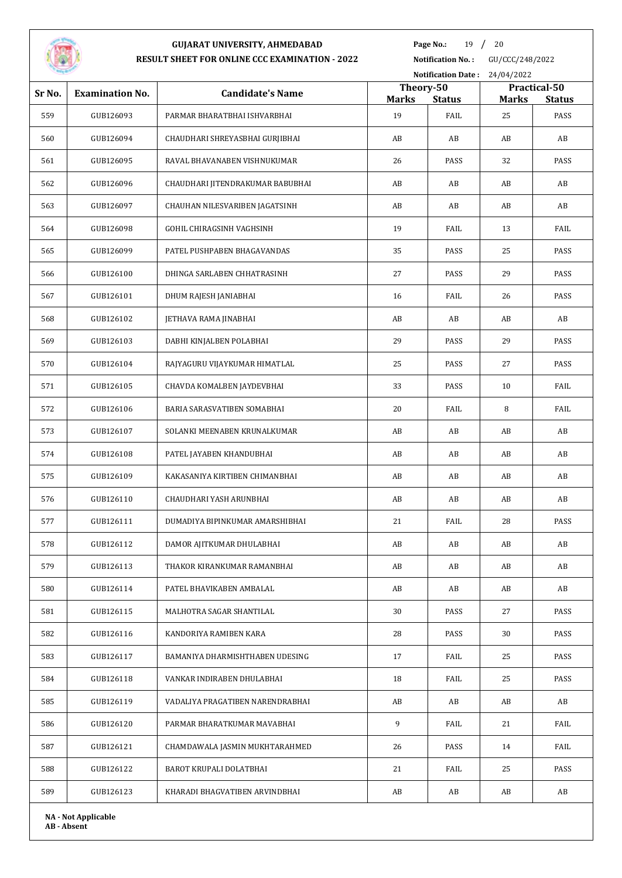

**Page No.:** 19 / 20

**Notification No. :** GU/CCC/248/2022

|        |                            |                                  |                           |               | Notification Date: 24/04/2022 |                       |  |  |
|--------|----------------------------|----------------------------------|---------------------------|---------------|-------------------------------|-----------------------|--|--|
| Sr No. | <b>Examination No.</b>     | <b>Candidate's Name</b>          | Theory-50<br><b>Marks</b> | <b>Status</b> | Practical-50                  |                       |  |  |
| 559    | GUB126093                  | PARMAR BHARATBHAI ISHVARBHAI     | 19                        | FAIL          | <b>Marks</b><br>25            | <b>Status</b><br>PASS |  |  |
| 560    | GUB126094                  | CHAUDHARI SHREYASBHAI GURJIBHAI  | AB                        | AB            | AB                            | AB                    |  |  |
| 561    | GUB126095                  | RAVAL BHAVANABEN VISHNUKUMAR     | 26                        | PASS          | 32                            | PASS                  |  |  |
| 562    | GUB126096                  | CHAUDHARI JITENDRAKUMAR BABUBHAI | AB                        | AB            | AB                            | AB                    |  |  |
| 563    | GUB126097                  | CHAUHAN NILESVARIBEN JAGATSINH   | AB                        | AB            | AB                            | AB                    |  |  |
| 564    | GUB126098                  | GOHIL CHIRAGSINH VAGHSINH        | 19                        | FAIL          | 13                            | FAIL                  |  |  |
| 565    | GUB126099                  | PATEL PUSHPABEN BHAGAVANDAS      | 35                        | PASS          | 25                            | PASS                  |  |  |
| 566    | GUB126100                  | DHINGA SARLABEN CHHATRASINH      | 27                        | PASS          | 29                            | PASS                  |  |  |
| 567    | GUB126101                  | DHUM RAJESH JANIABHAI            | 16                        | FAIL          | 26                            | PASS                  |  |  |
| 568    | GUB126102                  | <b>JETHAVA RAMA JINABHAI</b>     | AB                        | AB            | AB                            | AB                    |  |  |
| 569    | GUB126103                  | DABHI KINJALBEN POLABHAI         | 29                        | PASS          | 29                            | PASS                  |  |  |
| 570    | GUB126104                  | RAJYAGURU VIJAYKUMAR HIMATLAL    | 25                        | PASS          | 27                            | PASS                  |  |  |
| 571    | GUB126105                  | CHAVDA KOMALBEN JAYDEVBHAI       | 33                        | PASS          | 10                            | FAIL                  |  |  |
| 572    | GUB126106                  | BARIA SARASVATIBEN SOMABHAI      | 20                        | FAIL          | 8                             | FAIL                  |  |  |
| 573    | GUB126107                  | SOLANKI MEENABEN KRUNALKUMAR     | AB                        | AB            | AB                            | AB                    |  |  |
| 574    | GUB126108                  | PATEL JAYABEN KHANDUBHAI         | AB                        | AB            | AB                            | AB                    |  |  |
| 575    | GUB126109                  | KAKASANIYA KIRTIBEN CHIMANBHAI   | AB                        | AB            | AB                            | AB                    |  |  |
| 576    | GUB126110                  | CHAUDHARI YASH ARUNBHAI          | AB                        | AB            | AB                            | AB                    |  |  |
| 577    | GUB126111                  | DUMADIYA BIPINKUMAR AMARSHIBHAI  | 21                        | FAIL          | 28                            | PASS                  |  |  |
| 578    | GUB126112                  | DAMOR AJITKUMAR DHULABHAI        | AB                        | AB            | AB                            | AB                    |  |  |
| 579    | GUB126113                  | THAKOR KIRANKUMAR RAMANBHAI      | AB                        | AB            | AB                            | AB                    |  |  |
| 580    | GUB126114                  | PATEL BHAVIKABEN AMBALAL         | AB                        | AB            | AB                            | AB                    |  |  |
| 581    | GUB126115                  | MALHOTRA SAGAR SHANTILAL         | 30                        | PASS          | 27                            | PASS                  |  |  |
| 582    | GUB126116                  | KANDORIYA RAMIBEN KARA           | 28                        | PASS          | 30                            | PASS                  |  |  |
| 583    | GUB126117                  | BAMANIYA DHARMISHTHABEN UDESING  | 17                        | FAIL          | 25                            | PASS                  |  |  |
| 584    | GUB126118                  | VANKAR INDIRABEN DHULABHAI       | 18                        | FAIL          | 25                            | PASS                  |  |  |
| 585    | GUB126119                  | VADALIYA PRAGATIBEN NARENDRABHAI | AB                        | AB            | AB                            | AB                    |  |  |
| 586    | GUB126120                  | PARMAR BHARATKUMAR MAVABHAI      | 9                         | FAIL          | 21                            | FAIL                  |  |  |
| 587    | GUB126121                  | CHAMDAWALA JASMIN MUKHTARAHMED   | 26                        | PASS          | 14                            | FAIL                  |  |  |
| 588    | GUB126122                  | BAROT KRUPALI DOLATBHAI          | 21                        | FAIL          | 25                            | PASS                  |  |  |
| 589    | GUB126123                  | KHARADI BHAGVATIBEN ARVINDBHAI   | AB                        | AB            | AB                            | AB                    |  |  |
|        | <b>NA - Not Applicable</b> |                                  |                           |               |                               |                       |  |  |